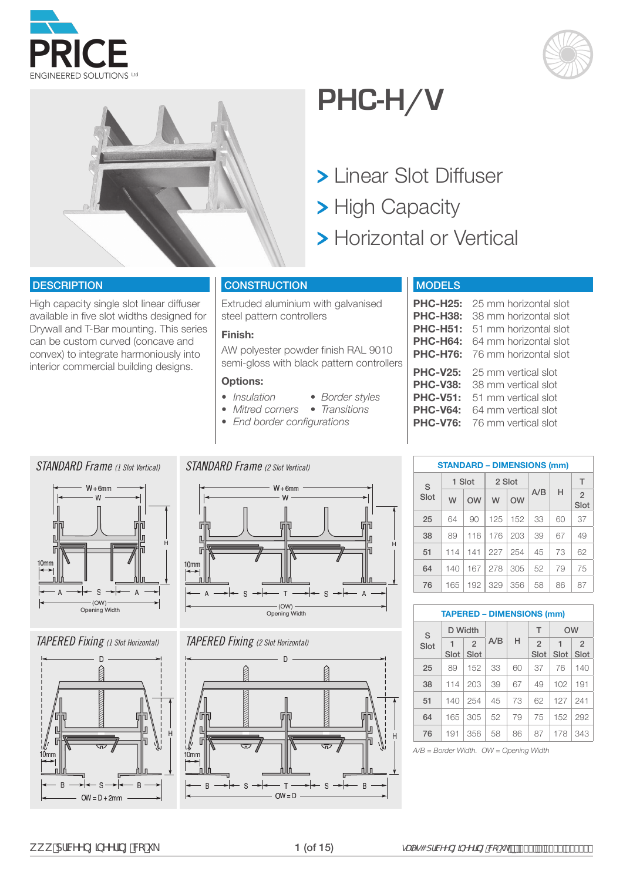





### **PHC-H/V**

- Linear Slot Diffuser
- > High Capacity

H

 $\overline{A}$ 

> Horizontal or Vertical

#### **DESCRIPTION**

High capacity single slot linear diffuser available in five slot widths designed for Drywall and T-Bar mounting. This series can be custom curved (concave and convex) to integrate harmoniously into interior commercial building designs.

#### **CONSTRUCTION**

Extruded aluminium with galvanised steel pattern controllers

#### **Finish:**

AW polyester powder finish RAL 9010 semi-gloss with black pattern controllers

 $-$  S

#### **Options:**

*STANDARD Frame (2 Slot Vertical)*

- *• Insulation Border styles*
- *• Mitred corners Transitions*
- *• End border configurations*
- 

#### $W + 6mm$ W 后 n

 $\mathsf{T}$ 

### $W + 6mm$ W H F  $10<sub>mr</sub>$

*STANDARD Frame (1 Slot Vertical)*



#### *TAPERED Fixing (1 Slot Horizontal)*



(OW) Opening Width

S

F

 $\overline{A}$ 

10mm

#### *TAPERED Fixing (2 Slot Horizontal)*



#### MODELS

|                 | <b>PHC-H25:</b> 25 mm horizontal slot |
|-----------------|---------------------------------------|
| <b>PHC-H38:</b> | 38 mm horizontal slot                 |
|                 | <b>PHC-H51:</b> 51 mm horizontal slot |
|                 | <b>PHC-H64:</b> 64 mm horizontal slot |
|                 | <b>PHC-H76:</b> 76 mm horizontal slot |
|                 | PHC-V25: 25 mm vertical slot          |

| <b>PHC-V38:</b> 38 mm vertical slot |
|-------------------------------------|
| <b>PHC-V51:</b> 51 mm vertical slot |
| <b>PHC-V64:</b> 64 mm vertical slot |
| <b>PHC-V76:</b> 76 mm vertical slot |
|                                     |

|      |     |        |     |        | <b>STANDARD - DIMENSIONS (mm)</b> |    |                        |
|------|-----|--------|-----|--------|-----------------------------------|----|------------------------|
| S    |     | 1 Slot |     | 2 Slot |                                   |    | T                      |
| Slot | W   | OW     | W   | OW     | A/B                               | н  | $\overline{2}$<br>Slot |
| 25   | 64  | 90     | 125 | 152    | 33                                | 60 | 37                     |
| 38   | 89  | 116    | 176 | 203    | 39                                | 67 | 49                     |
| 51   | 114 | 141    | 227 | 254    | 45                                | 73 | 62                     |
| 64   | 140 | 167    | 278 | 305    | 52                                | 79 | 75                     |
| 76   | 165 | 192    | 329 | 356    | 58                                | 86 | 87                     |

|      | <b>TAPERED - DIMENSIONS (mm)</b> |                        |     |    |                        |           |                        |
|------|----------------------------------|------------------------|-----|----|------------------------|-----------|------------------------|
| S    |                                  | D Width                |     |    | T                      | <b>OW</b> |                        |
| Slot | Slot                             | $\overline{2}$<br>Slot | A/B | н  | $\overline{2}$<br>Slot | Slot      | $\overline{2}$<br>Slot |
| 25   | 89                               | 152                    | 33  | 60 | 37                     | 76        | 140                    |
| 38   | 114                              | 203                    | 39  | 67 | 49                     | 102       | 191                    |
| 51   | 140                              | 254                    | 45  | 73 | 62                     | 127       | 241                    |
| 64   | 165                              | 305                    | 52  | 79 | 75                     | 152       | 292                    |
| 76   | 191                              | 356                    | 58  | 86 | 87                     | 178       | 343                    |

*A/B = Border Width. OW = Opening Width*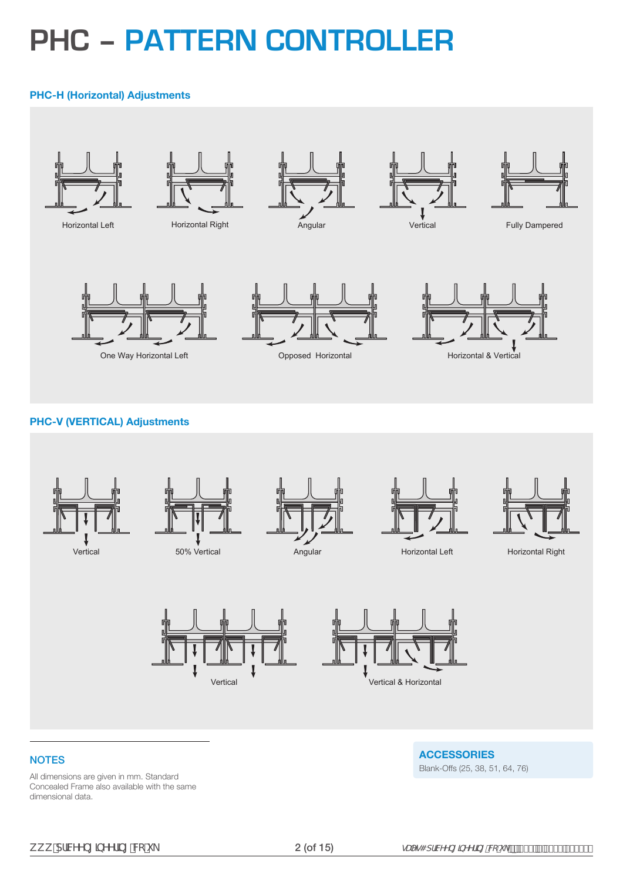### **PHC – PATTERN CONTROLLER**

#### **PHC-H (Horizontal) Adjustments**



#### **PHC-V (VERTICAL) Adjustments**



#### **NOTES**

All dimensions are given in mm. Standard Concealed Frame also available with the same dimensional data.

**ACCESSORIES** Blank-Offs (25, 38, 51, 64, 76)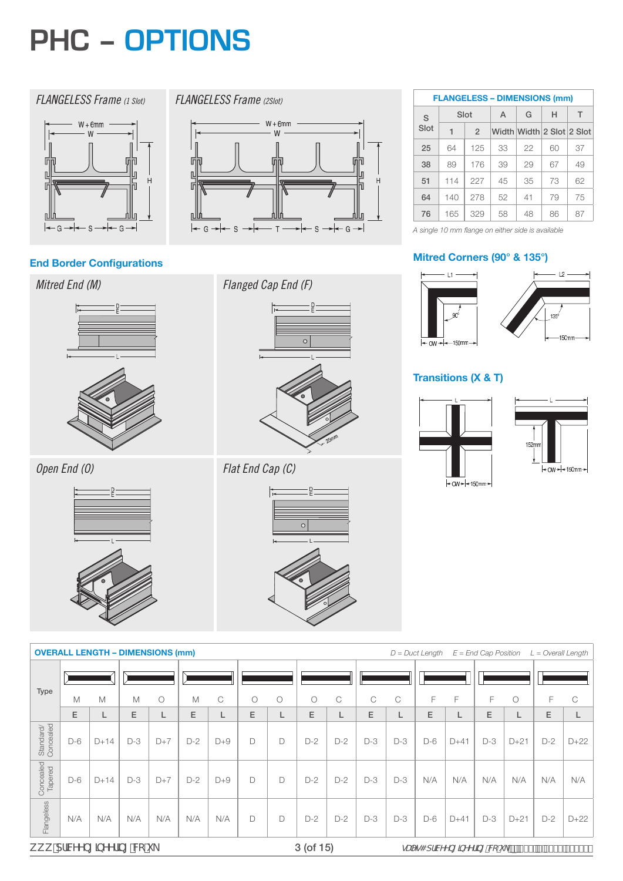### **PHC – OPTIONS**

#### *FLANGELESS Frame (1 Slot)*

*FLANGELESS Frame (2Slot)*

IF

L

匠

 $\mathbb{R}$ 

 $|-$  G  $+$ 

<sub>S</sub>



### **End Border Configurations Mitred Corners (90° & 135°)**

#### *Mitred End (M)*



*Open End (O)*



*Flanged Cap End (F)*

 $T -$ 

 $W + 6mm$ W



 $\leftarrow$  G  $\rightarrow$ 

 $\cdot$  S

#### *Flat End Cap (C)*



|      |      |                | <b>FLANGELESS - DIMENSIONS (mm)</b> |                           |    |    |
|------|------|----------------|-------------------------------------|---------------------------|----|----|
| S    | Slot |                | A                                   | G                         | н  | т  |
| Slot | 1    | $\mathfrak{D}$ |                                     | Width Width 2 Slot 2 Slot |    |    |
| 25   | 64   | 125            | 33                                  | 22                        | 60 | 37 |
| 38   | 89   | 176            | 39                                  | 29                        | 67 | 49 |
| 51   | 114  | 227            | 45                                  | 35                        | 73 | 62 |
| 64   | 140  | 278            | 52                                  | 41                        | 79 | 75 |
| 76   | 165  | 329            | 58                                  | 48                        | 86 | 87 |

*A single 10 mm flange on either side is available*



#### **Transitions (X & T)**





|                                |       | <b>OVERALL LENGTH – DIMENSIONS (mm)</b> |       |            |       |       |        |            |            |       |       |       | $D = Duct Length$ |                                               | $E =$ End Cap Position |            | $L = Overall$ Length |         |
|--------------------------------|-------|-----------------------------------------|-------|------------|-------|-------|--------|------------|------------|-------|-------|-------|-------------------|-----------------------------------------------|------------------------|------------|----------------------|---------|
| Type                           |       |                                         |       |            |       |       |        |            |            |       |       |       | E                 |                                               | F                      |            | F                    |         |
|                                | M     | M                                       | M     | $\bigcirc$ | M     | C     | Ο      | $\bigcirc$ | $\bigcirc$ | C     | C     | C     |                   | F                                             |                        | $\bigcirc$ |                      | C       |
|                                | E.    | ∟                                       | E     | ∟          | E     |       | E      | L          | E          | L     | E     | L     | E                 |                                               | E                      | L          | E.                   | L       |
| Standard/<br>Concealed         | $D-6$ | $D+14$                                  | $D-3$ | $D+7$      | $D-2$ | $D+9$ | D      | D          | $D-2$      | $D-2$ | $D-3$ | $D-3$ | D-6               | $D+41$                                        | $D-3$                  | $D+21$     | $D-2$                | $D+22$  |
| Concealed<br>Tapered           | $D-6$ | $D+14$                                  | $D-3$ | $D+7$      | $D-2$ | $D+9$ | $\Box$ | D          | $D-2$      | $D-2$ | $D-3$ | $D-3$ | N/A               | N/A                                           | N/A                    | N/A        | N/A                  | N/A     |
| Flangeless                     | N/A   | N/A                                     | N/A   | N/A        | N/A   | N/A   | D      | D          | $D-2$      | $D-2$ | $D-3$ | $D-3$ | $D-6$             | $D+41$                                        | $D-3$                  | $D+21$     | $D-2$                | $D+22$  |
| k k k "df]WYYb[ ]bYYf]b[ "V¢"i |       |                                         |       |            |       |       |        |            | 3 (of 15)  |       |       |       |                   | $qUYq4$ dfMYYb[]bYYf]b["W"] _ p $Z($ ( r\$1%) |                        |            |                      | $) - $$ |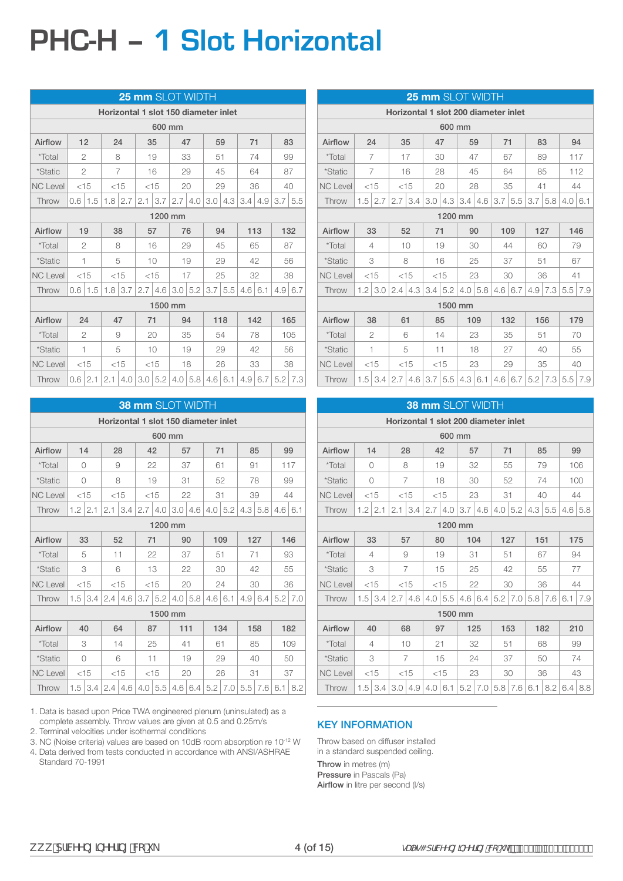# **PHC-H – 1 Slot Horizontal**

| 25 mm SLOT WIDTH                     |                |                |     |                |     |           |         |                |                  |                |         |                |                |     |  |    |
|--------------------------------------|----------------|----------------|-----|----------------|-----|-----------|---------|----------------|------------------|----------------|---------|----------------|----------------|-----|--|----|
| Horizontal 1 slot 150 diameter inlet |                |                |     |                |     |           |         |                |                  |                |         |                |                |     |  |    |
|                                      |                |                |     |                |     | 600 mm    |         |                |                  |                |         |                |                |     |  |    |
| Airflow                              | 12             |                |     | 24             |     | 35        |         | 47             | 59               |                | 71      |                |                | 83  |  |    |
| <i>*</i> Total                       | $\overline{2}$ |                |     | 8              |     | 19        |         | 33             | 51               |                |         | 74             | 99             |     |  |    |
| <i>*Static</i>                       |                | $\overline{2}$ |     | $\overline{7}$ |     | 16        |         | 29             |                  | 45             | 64      |                | 87             |     |  |    |
| <b>NC Level</b>                      |                | $<$ 15         |     | $<$ 15         |     | $<$ 15    |         | 20             | 29               |                |         | 36             |                | 40  |  |    |
| Throw                                | 0.6            | 1.5            |     | $1.8$   2.7    | 2.1 | 3.7       |         | $2.7 \mid 4.0$ | 3.0 <sub>1</sub> | 4.3            |         | $3.4 \mid 4.9$ | 3.7            | 5.5 |  |    |
|                                      |                |                |     |                |     |           | 1200 mm |                |                  |                |         |                |                |     |  |    |
| Airflow                              | 19             |                |     | 38             |     | 57        | 76      |                | 94               |                | 113     |                |                | 132 |  |    |
| *Total                               |                | $\overline{2}$ |     | 8              | 16  |           |         | 29             |                  | 45             |         | 65             |                | 87  |  |    |
| *Static                              | 1              |                |     | 5              | 10  |           |         | 19             | 29               |                |         | 42             |                | 56  |  |    |
| <b>NC Level</b>                      |                | $<$ 15         |     | $<$ 15         |     | $<$ 15    | 17      |                |                  | 25             |         | 32             |                | 38  |  |    |
| Throw                                | $0.6^{\circ}$  | 1.5            |     | $1.8$ 3.7      | 2.7 | 4.6       |         | $3.0$ 5.2      |                  | $3.7 \mid 5.5$ | 4.6 6.1 |                | $4.9 \mid 6.7$ |     |  |    |
|                                      |                |                |     |                |     | 1500 mm   |         |                |                  |                |         |                |                |     |  |    |
| Airflow                              |                | 24             |     | 47             |     | 71        |         | 94             |                  | 118            |         | 142            |                | 165 |  |    |
| *Total                               |                | $\overline{2}$ |     | 9              |     | 20        |         | 35             |                  | 54             |         | 78             |                | 105 |  |    |
| *Static                              |                | 1              |     | 5              |     | 10        |         | 19             | 29               |                |         |                |                | 42  |  | 56 |
| <b>NC Level</b>                      |                | $<$ 15         |     | $<$ 15         |     | $<$ 15    |         | 18             |                  | 26             |         | 33             |                | 38  |  |    |
| Throw                                | 0.6            | 2.1            | 2.1 | 4.0            |     | $3.0$ 5.2 |         | 4.0   5.8      | 4.6 6.1          |                |         | $4.9 \mid 6.7$ | 5.2            | 7.3 |  |    |

|                 | <b>38 mm SLOT WIDTH</b><br>Horizontal 1 slot 150 diameter inlet |           |     |                                     |     |           |         |         |     |           |     |                |         |           |
|-----------------|-----------------------------------------------------------------|-----------|-----|-------------------------------------|-----|-----------|---------|---------|-----|-----------|-----|----------------|---------|-----------|
|                 |                                                                 |           |     |                                     |     |           |         |         |     |           |     |                |         |           |
|                 |                                                                 |           |     |                                     |     | 600 mm    |         |         |     |           |     |                |         |           |
| Airflow         | 14                                                              |           |     | 28                                  |     | 42        |         | 57      | 71  |           | 85  |                |         | 99        |
| <i>*</i> Total  | $\bigcap$                                                       |           |     | 9                                   |     | 22        |         | 37      | 61  |           | 91  |                |         | 117       |
| <i>*Static</i>  | $\bigcap$                                                       |           |     | 8                                   |     | 19        | 31      |         |     | 52        |     | 78             |         | 99        |
| <b>NC Level</b> |                                                                 | $<$ 15    |     | $<$ 15                              |     | $<$ 15    |         | 22      | 31  |           |     | 39             |         | 44        |
| Throw           | 1.2                                                             | 2.1       | 2.1 | 3.4                                 | 2.7 | 4.0       | 3.0     | 4.6     | 4.0 | 5.2       | 4.3 | 5.8            | 4.6 6.1 |           |
|                 |                                                                 |           |     |                                     |     | 1200 mm   |         |         |     |           |     |                |         |           |
| Airflow         | 33                                                              |           |     | 90<br>109<br>127<br>146<br>52<br>71 |     |           |         |         |     |           |     |                |         |           |
| <i>*Total</i>   |                                                                 | 5         |     | 11                                  | 22  |           |         | 37      | 51  |           | 71  |                |         | 93        |
| *Static         |                                                                 | 3         |     | 6                                   | 13  |           |         | 22      |     | 30        |     | 42             |         | 55        |
| <b>NC Level</b> | $<$ 15                                                          |           |     | $<$ 15                              |     | $<$ 15    |         | 20      |     | 24        | 30  |                |         | 36        |
| Throw           | 1.5                                                             | 3.4       | 2.4 | 4.6                                 |     | $3.7$ 5.2 | 4.0     | 5.8     | 4.6 | 6.1       |     | $4.9 \mid 6.4$ |         | $5.2$ 7.0 |
|                 |                                                                 |           |     |                                     |     |           | 1500 mm |         |     |           |     |                |         |           |
| Airflow         | 40                                                              |           |     | 64                                  |     | 87        | 111     |         |     | 134       |     | 158            |         | 182       |
| *Total          |                                                                 | 3         |     | 14                                  |     | 25        | 41      |         | 61  |           | 85  |                |         | 109       |
| *Static         |                                                                 | 0         |     | 6                                   |     | 11        |         | 19      |     | 29        | 40  |                | 50      |           |
| <b>NC Level</b> |                                                                 | $<$ 15    |     | $<$ 15                              |     | $<$ 15    |         | 20      |     | 26        | 31  |                |         | 37        |
| Throw           |                                                                 | $1.5$ 3.4 | 2.4 | 4.6                                 |     | $4.0$ 5.5 |         | 4.6 6.4 |     | $5.2$ 7.0 |     | $5.5$ 7.6      | 6.1     | 8.2       |

1. Data is based upon Price TWA engineered plenum (uninsulated) as a complete assembly. Throw values are given at 0.5 and 0.25m/s

2. Terminal velocities under isothermal conditions

3. NC (Noise criteria) values are based on 10dB room absorption re 10-12 W

4. Data derived from tests conducted in accordance with ANSI/ASHRAE Standard 70-1991

|                 |     |                                           |                                    |                | 25 mm SLOT WIDTH  |           |                   |                 |                                      |                |     |                   |                               |     |
|-----------------|-----|-------------------------------------------|------------------------------------|----------------|-------------------|-----------|-------------------|-----------------|--------------------------------------|----------------|-----|-------------------|-------------------------------|-----|
|                 |     |                                           |                                    |                |                   |           |                   |                 | Horizontal 1 slot 200 diameter inlet |                |     |                   |                               |     |
|                 |     |                                           |                                    |                |                   | 600 mm    |                   |                 |                                      |                |     |                   |                               |     |
| Airflow         |     | 24                                        |                                    | 35             |                   | 47        | 59                |                 | 71                                   |                |     | 83                |                               | 94  |
| <i>*Total</i>   |     | 7                                         |                                    | 17             |                   | 30        | 47                |                 | 67                                   |                |     | 89                |                               | 117 |
| <i>*Static</i>  |     | $\overline{7}$                            |                                    | 16             |                   | 28        |                   | 45              | 64                                   |                |     | 85                |                               | 112 |
| <b>NC Level</b> |     | $<$ 15                                    |                                    | $<$ 15         |                   | 20        |                   | 28              | 35                                   |                | 41  |                   | 44                            |     |
| Throw           |     | $1.5$   2.7                               | 2.7                                | 3.4            |                   |           | $3.0$ 4.3 3.4 4.6 |                 |                                      | $3.7$ 5.5      |     | $3.7 \,   \, 5.8$ | $4.0\,6.1$                    |     |
|                 |     |                                           |                                    |                |                   |           | 1200 mm           |                 |                                      |                |     |                   |                               |     |
| Airflow         |     | 33<br>52<br>90<br>109<br>127<br>146<br>71 |                                    |                |                   |           |                   |                 |                                      |                |     |                   |                               |     |
| <i>*</i> Total  |     | 4                                         |                                    | 10             | 19                |           |                   | 30              |                                      | 44             |     | 60                |                               | 79  |
| <i>*Static</i>  |     | 3                                         |                                    | 8              | 16                |           |                   | 25              |                                      | 37             |     | 51                |                               | 67  |
| <b>NC Level</b> |     | $<$ 15                                    |                                    | $<$ 15         |                   | $<$ 15    | 23                |                 | 30                                   |                |     | 36                | 41                            |     |
| Throw           | 1.2 | 3.0                                       |                                    | $2.4 \mid 4.3$ |                   | 3.4   5.2 |                   | $4.0 \, \, 5.8$ |                                      | 4.6 6.7        | 4.9 | 7.3               | $5.5$ 7.9                     |     |
|                 |     |                                           |                                    |                |                   |           | 1500 mm           |                 |                                      |                |     |                   |                               |     |
| Airflow         |     | 38                                        | 61                                 |                |                   | 85        |                   | 109             |                                      | 132            |     | 156               |                               | 179 |
| <i>*Total</i>   |     | 2                                         |                                    | 6              |                   | 14        |                   | 23              |                                      | 35             |     | 51                |                               | 70  |
| <i>*Static</i>  |     | 1                                         |                                    | 5              |                   | 11        |                   | 18              | 27                                   |                | 40  |                   | 55                            |     |
| <b>NC Level</b> |     | $<$ 15                                    | $<$ 15<br>35<br>$<$ 15<br>23<br>29 |                |                   |           |                   |                 |                                      | 40             |     |                   |                               |     |
| Throw           |     | $1.5$   3.4                               | 2.7                                |                | $4.6$   3.7   5.5 |           | $4.3 \mid 6.1$    |                 |                                      | $4.6 \mid 6.7$ |     |                   | $5.2$   $7.3$   $5.5$   $7.9$ |     |

|                 |            |                                            |     |                                          | <b>38 mm SLOT WIDTH</b> |        |         |                |                                      |               |     |                |     |                |  |
|-----------------|------------|--------------------------------------------|-----|------------------------------------------|-------------------------|--------|---------|----------------|--------------------------------------|---------------|-----|----------------|-----|----------------|--|
|                 |            |                                            |     |                                          |                         |        |         |                | Horizontal 1 slot 200 diameter inlet |               |     |                |     |                |  |
|                 |            |                                            |     |                                          |                         | 600 mm |         |                |                                      |               |     |                |     |                |  |
| Airflow         |            | 14                                         |     | 28                                       | 42                      |        |         | 57             | 71                                   |               |     | 85             |     | 99             |  |
| *Total          | $\bigcirc$ |                                            |     | 8                                        |                         | 19     |         | 32             | 55                                   |               |     | 79             |     | 106            |  |
| *Static         | $\bigcirc$ |                                            |     | 7                                        |                         | 18     |         | 30             | 52                                   |               |     | 74             |     | 100            |  |
| <b>NC Level</b> | $<$ 15     |                                            |     | $<$ 15                                   | $<$ 15                  |        |         | 23             | 31                                   |               |     | 40             |     | 44             |  |
| Throw           | 1.2        | 2.1                                        | 2.1 | 3.4                                      | 2.7                     | 4.0    |         | $3.7 \mid 4.6$ | 4.0                                  | 5.2           |     | $4.3 \mid 5.5$ |     | $4.6 \mid 5.8$ |  |
|                 |            |                                            |     |                                          |                         |        | 1200 mm |                |                                      |               |     |                |     |                |  |
| Airflow         |            | 33<br>104<br>80<br>127<br>151<br>175<br>57 |     |                                          |                         |        |         |                |                                      |               |     |                |     |                |  |
| <i>*Total</i>   |            | 4                                          |     | 9                                        |                         | 19     | 31      |                | 51                                   |               |     | 67             |     | 94             |  |
| *Static         |            | 3                                          |     | $\overline{7}$                           | 15                      |        |         | 25             | 42                                   |               |     | 55             |     | 77             |  |
| <b>NC Level</b> | $<$ 15     |                                            |     | $<$ 15                                   |                         | $<$ 15 | 22      |                | 30                                   |               |     | 36             |     | 44             |  |
| Throw           | 1.5        | 3.4                                        | 2.7 | 4.6                                      | 4.0                     | 5.5    |         | $4.6 \mid 6.4$ |                                      | $5.2$   $7.0$ | 5.8 | 7.6            | 6.1 | 7.9            |  |
|                 |            |                                            |     |                                          |                         |        | 1500 mm |                |                                      |               |     |                |     |                |  |
| Airflow         | 40         |                                            |     | 68                                       | 97                      |        |         | 125            |                                      | 153           |     | 182            |     | 210            |  |
| *Total          |            | $\overline{4}$                             |     | 10                                       | 21                      |        |         | 32             | 51                                   |               |     | 68             |     | 99             |  |
| <i>*Static</i>  |            | 3                                          |     | $\overline{7}$                           |                         | 15     |         | 24             | 37                                   |               |     | 50             |     | 74             |  |
| <b>NC Level</b> | $<$ 15     |                                            |     | $<$ 15<br>$<$ 15<br>23<br>30<br>36<br>43 |                         |        |         |                |                                      |               |     |                |     |                |  |
| Throw           | 1.5        | 3.4                                        | 3.0 | 4.9                                      | 4.0                     | 6.1    | 5.2     | 7.0            | 5.8                                  | 7.6           | 6.1 | 8.2            | 6.4 | 8.8            |  |

#### KEY INFORMATION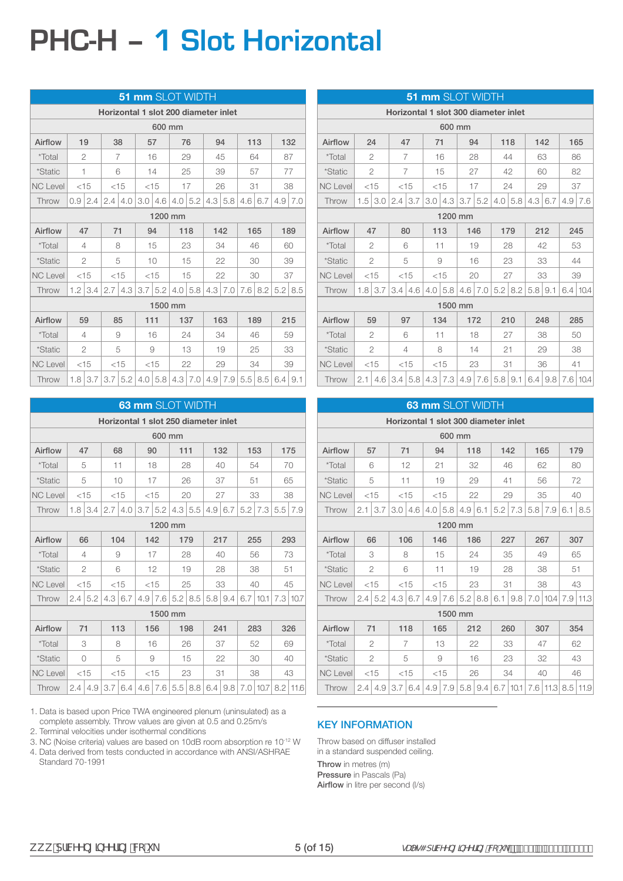# **PHC-H – 1 Slot Horizontal**

| <b>51 mm SLOT WIDTH</b> |                |                |     |           |     |                |         |                 |                                      |                |         |                |                |     |  |    |
|-------------------------|----------------|----------------|-----|-----------|-----|----------------|---------|-----------------|--------------------------------------|----------------|---------|----------------|----------------|-----|--|----|
|                         |                |                |     |           |     |                |         |                 | Horizontal 1 slot 200 diameter inlet |                |         |                |                |     |  |    |
| 600 mm                  |                |                |     |           |     |                |         |                 |                                      |                |         |                |                |     |  |    |
| Airflow                 | 19             |                |     | 38        |     | 57             | 76      |                 | 94                                   |                | 113     |                | 132            |     |  |    |
| <i>*</i> Total          |                | 2              |     | 7         |     | 16             |         | 29              |                                      | 45             |         | 64             |                | 87  |  |    |
| <i>*Static</i>          | 1              |                |     | 6         |     | 14             | 25      |                 |                                      | 39             | 57      |                | 77             |     |  |    |
| <b>NC Level</b>         |                | $<$ 15         |     | $<$ 15    |     | $<$ 15         |         | 17              |                                      | 26             | 31      |                |                | 38  |  |    |
| Throw                   | 0.9            | 2.4            | 2.4 | 4.0       |     | $3.0$   4.6    |         | $4.0 \mid 5.2$  |                                      | $4.3 \mid 5.8$ | 4.6 6.7 |                | 4.9            | 7.0 |  |    |
|                         |                |                |     |           |     |                | 1200 mm |                 |                                      |                |         |                |                |     |  |    |
| Airflow                 | 47             |                | 71  |           |     | 94             |         | 118             |                                      | 142            | 165     |                | 189            |     |  |    |
| <i>*Total</i>           | $\overline{4}$ |                |     | 8         | 15  |                |         | 23              | 34                                   |                |         | 46             | 60             |     |  |    |
| *Static                 |                | 2              |     | 5         |     | 10             |         | 15              |                                      | 22             |         | 30             | 39             |     |  |    |
| <b>NC Level</b>         |                | $<$ 15         |     | $<$ 15    |     | $<$ 15         |         | 15              |                                      | 22             |         | 30             | 37             |     |  |    |
| Throw                   |                | $1.2$ 3.4      | 2.7 | 4.3       |     | $3.7 \mid 5.2$ |         | $4.0 \, \, 5.8$ |                                      | $4.3 \mid 7.0$ |         | $7.6 \mid 8.2$ | $5.2$   8.5    |     |  |    |
|                         |                |                |     |           |     | 1500 mm        |         |                 |                                      |                |         |                |                |     |  |    |
| Airflow                 |                | 59             |     | 85        | 111 |                |         | 137             |                                      | 163            |         | 189            |                | 215 |  |    |
| *Total                  |                | 4              |     | 9         |     | 16             |         | 24              |                                      | 34             |         | 46             |                | 59  |  |    |
| *Static                 |                | $\overline{c}$ |     | 5         |     | 9              |         | 13              |                                      | 19             |         | 25             |                | 33  |  |    |
| <b>NC Level</b>         |                | $<$ 15         |     | $<$ 15    |     | $<$ 15         | 22      |                 | 29                                   |                |         |                |                | 34  |  | 39 |
| Throw                   |                | $1.8$ 3.7      |     | $3.7$ 5.2 |     | $4.0$ 5.8      |         | $4.3 \mid 7.0$  |                                      | $4.9$ 7.9      |         | $5.5$ 8.5      | $6.4 \mid 9.1$ |     |  |    |

| 63 mm SLOT WIDTH |               |                                              |     |                |                                      |        |                                                  |                |     |                |    |              |     |            |
|------------------|---------------|----------------------------------------------|-----|----------------|--------------------------------------|--------|--------------------------------------------------|----------------|-----|----------------|----|--------------|-----|------------|
|                  |               |                                              |     |                | Horizontal 1 slot 250 diameter inlet |        |                                                  |                |     |                |    |              |     |            |
| 600 mm           |               |                                              |     |                |                                      |        |                                                  |                |     |                |    |              |     |            |
| Airflow          | 47            |                                              |     | 68             | 90                                   |        | 111                                              |                |     | 132            |    | 153          |     | 175        |
| <i>*</i> Total   | 5             |                                              | 11  |                |                                      | 18     |                                                  | 28             |     | 40             |    | 54           |     | 70         |
| <i>*Static</i>   | 5             |                                              |     | 10             |                                      | 17     |                                                  | 26             | 37  |                | 51 |              |     | 65         |
| <b>NC Level</b>  | $<$ 15        |                                              |     | $<$ 15         | $<$ 15                               |        |                                                  | 20             |     | 27             |    | 33           |     | 38         |
| Throw            | 1.8           | 3.4                                          | 2.7 | 4.0            | 3.7                                  | 5.2    |                                                  | $4.3 \mid 5.5$ | 4.9 | 6.7            |    | $5.2$ 7.3    | 5.5 | 7.9        |
|                  |               |                                              |     |                |                                      |        | 1200 mm                                          |                |     |                |    |              |     |            |
| Airflow          |               | 66<br>104<br>142<br>179<br>217<br>255<br>293 |     |                |                                      |        |                                                  |                |     |                |    |              |     |            |
| <i>*Total</i>    |               | 4                                            |     | 9              | 17                                   |        |                                                  | 28             |     | 40             |    | 56           |     | 73         |
| *Static          |               | $\overline{2}$                               |     | 6              | 12                                   |        |                                                  | 19             |     | 28             |    | 38           |     | 51         |
| <b>NC Level</b>  | $<$ 15        |                                              |     | $<$ 15         | $<$ 15                               |        | 25                                               |                | 33  |                |    | 40           |     | 45         |
| Throw            | $2.4^{\circ}$ | 5.2                                          |     | $4.3 \mid 6.7$ | 4.9                                  | 7.6    |                                                  | $5.2$   8.5    |     | $5.8 \mid 9.4$ |    | $6.7$   10.1 |     | 7.3 10.7   |
|                  |               |                                              |     |                |                                      |        | 1500 mm                                          |                |     |                |    |              |     |            |
| Airflow          | 71            |                                              |     | 113            |                                      | 156    |                                                  | 198            | 241 |                |    | 283          |     | 326        |
| <i>*Total</i>    |               | 3                                            |     | 8              |                                      | 16     |                                                  | 26             |     | 37             |    | 52           |     | 69         |
| <i>*Static</i>   |               | $\bigcirc$                                   |     | 5              |                                      | 9      |                                                  | 15             |     | 22             | 30 |              | 40  |            |
| <b>NC Level</b>  |               | $<$ 15                                       |     | $<$ 15         |                                      | $<$ 15 |                                                  | 23             | 31  |                |    | 38           |     | 43         |
| Throw            | 2.4           | 4.9                                          |     | 3.7 6.4        |                                      |        | $4.6$   7.6   5.5   8.8   6.4   9.8   7.0   10.7 |                |     |                |    |              |     | $8.2$ 11.6 |

1. Data is based upon Price TWA engineered plenum (uninsulated) as a complete assembly. Throw values are given at 0.5 and 0.25m/s

2. Terminal velocities under isothermal conditions

3. NC (Noise criteria) values are based on 10dB room absorption re 10-12 W

4. Data derived from tests conducted in accordance with ANSI/ASHRAE Standard 70-1991

|                 |     |                |     |                                      |                  |        | <b>51 mm SLOT WIDTH</b> |     |                   |               |                |     |                          |
|-----------------|-----|----------------|-----|--------------------------------------|------------------|--------|-------------------------|-----|-------------------|---------------|----------------|-----|--------------------------|
|                 |     |                |     | Horizontal 1 slot 300 diameter inlet |                  |        |                         |     |                   |               |                |     |                          |
|                 |     |                |     |                                      |                  | 600 mm |                         |     |                   |               |                |     |                          |
| Airflow         |     | 24             |     | 47                                   | 71               |        |                         | 94  |                   | 118           | 142            |     | 165                      |
| <i>*Total</i>   |     | 2              |     | 7                                    |                  | 16     |                         | 28  |                   | 44            | 63             |     | 86                       |
| *Static         |     | $\overline{2}$ |     | $\overline{7}$                       |                  | 15     |                         | 27  |                   | 42            | 60             |     | 82                       |
| <b>NC Level</b> |     | $<$ 15         |     | $<$ 15                               |                  | $<$ 15 |                         | 17  |                   | 24            | 29             |     | 37                       |
| Throw           | 1.5 | 3.0            | 2.4 | 3.7                                  |                  |        | $3.0$   4.3   3.7   5.2 |     |                   | $4.0\, \,5.8$ | $4.3 \mid 6.7$ | 4.9 | 7.6                      |
|                 |     |                |     |                                      |                  |        | 1200 mm                 |     |                   |               |                |     |                          |
| Airflow         |     | 47             |     | 80                                   |                  | 113    |                         | 146 |                   | 179           | 212            |     | 245                      |
| *Total          |     | $\overline{2}$ |     | 6                                    |                  | 11     |                         | 19  |                   | 28            | 42             |     | 53                       |
| <i>*Static</i>  |     | $\overline{2}$ |     | 5                                    |                  | 9      |                         | 16  |                   | 23            | 33             |     | 44                       |
| <b>NC Level</b> |     | $<$ 15         |     | $<$ 15                               |                  | $<$ 15 |                         | 20  |                   | 27            | 33             |     | 39                       |
| Throw           | 1.8 | 3.7            | 3.4 | 4.6                                  | 4.0 <sub>1</sub> | 5.8    | 4.6                     | 7.0 |                   | $5.2$   8.2   | $5.8$   9.1    |     | $6.4 \mid 10.4$          |
|                 |     |                |     |                                      |                  |        | 1500 mm                 |     |                   |               |                |     |                          |
| Airflow         |     | 59             |     | 97                                   |                  | 134    |                         | 172 |                   | 210           | 248            |     | 285                      |
| <i>*</i> Total  |     | 2              |     | 6                                    |                  | 11     |                         | 18  |                   | 27            | 38             |     | 50                       |
| <i>*Static</i>  |     | $\overline{2}$ |     | 4                                    |                  | 8      |                         | 14  | 21                |               | 29             |     | 38                       |
| <b>NC Level</b> |     | $<$ 15         |     | $<$ 15                               |                  | $<$ 15 |                         | 23  |                   | 31            | 36             |     | 41                       |
| Throw           | 2.1 |                |     | $4.6$   3.4   5.8   4.3   7.3        |                  |        |                         |     | $4.9$ 7.6 5.8 9.1 |               |                |     | $6.4$   9.8   7.6   10.4 |

|                 |                           |                |      |        |     |                |  | <b>63 mm SLOT WIDTH</b>              |     |      |     |     |     |                   |
|-----------------|---------------------------|----------------|------|--------|-----|----------------|--|--------------------------------------|-----|------|-----|-----|-----|-------------------|
|                 |                           |                |      |        |     |                |  | Horizontal 1 slot 300 diameter inlet |     |      |     |     |     |                   |
|                 |                           |                |      |        |     | 600 mm         |  |                                      |     |      |     |     |     |                   |
| Airflow         |                           | 57             | 71   |        | 94  |                |  | 118                                  |     | 142  | 165 |     |     | 179               |
| *Total          |                           | 6              |      | 12     | 21  |                |  | 32                                   | 46  |      | 62  |     |     | 80                |
| *Static         |                           | 5              | 11   |        |     | 19             |  | 29                                   | 41  |      |     | 56  |     | 72                |
| <b>NC Level</b> | < 15                      |                | < 15 |        |     | < 15           |  | 22                                   | 29  |      | 35  |     |     | 40                |
| Throw           | 2.1                       | 3.7            | 3.0  | 4.6    | 4.0 | 5.8            |  |                                      | 5.2 | 7.3  | 5.8 | 7.9 | 6.1 | 8.5               |
|                 | $4.9 \mid 6.1$<br>1200 mm |                |      |        |     |                |  |                                      |     |      |     |     |     |                   |
| Airflow         |                           | 66             |      | 106    | 146 |                |  | 186                                  |     | 227  | 267 |     |     | 307               |
| *Total          |                           | 3              |      | 8      |     | 15             |  | 24                                   | 35  |      | 49  |     |     | 65                |
| <i>*Static</i>  |                           | $\overline{2}$ |      | 6      | 11  |                |  | 19                                   | 28  |      | 38  |     |     | 51                |
| <b>NC Level</b> |                           | $<$ 15         |      | $<$ 15 |     | $<$ 15         |  | 23                                   | 31  |      | 38  |     |     | 43                |
| Throw           | 2.4                       | 5.2            | 4.3  | 6.7    |     | $4.9 \mid 7.6$ |  | $5.2$   8.8                          | 6.1 | 9.8  | 7.0 |     |     | $10.4$ 7.9 11.3   |
|                 |                           |                |      |        |     | 1500 mm        |  |                                      |     |      |     |     |     |                   |
| Airflow         | 71                        |                |      | 118    |     | 165            |  | 212                                  |     | 260  | 307 |     |     | 354               |
| <i>*</i> Total  |                           | 2              |      | 7      |     | 13             |  | 22                                   |     | 33   | 47  |     |     | 62                |
| <i>*Static</i>  |                           | 2              |      | 5      |     | 9              |  | 16                                   |     | 23   |     | 32  |     | 43                |
| <b>NC Level</b> |                           | $<$ 15         |      | $<$ 15 |     | < 15           |  | 26                                   |     | 34   |     | 40  |     | 46                |
| Throw           | 2.4                       | 4.9            | 3.7  | 6.4    | 4.9 | 7.9            |  | $5.8$   9.4                          | 6.7 | 10.1 |     |     |     | 7.6 11.3 8.5 11.9 |

#### KEY INFORMATION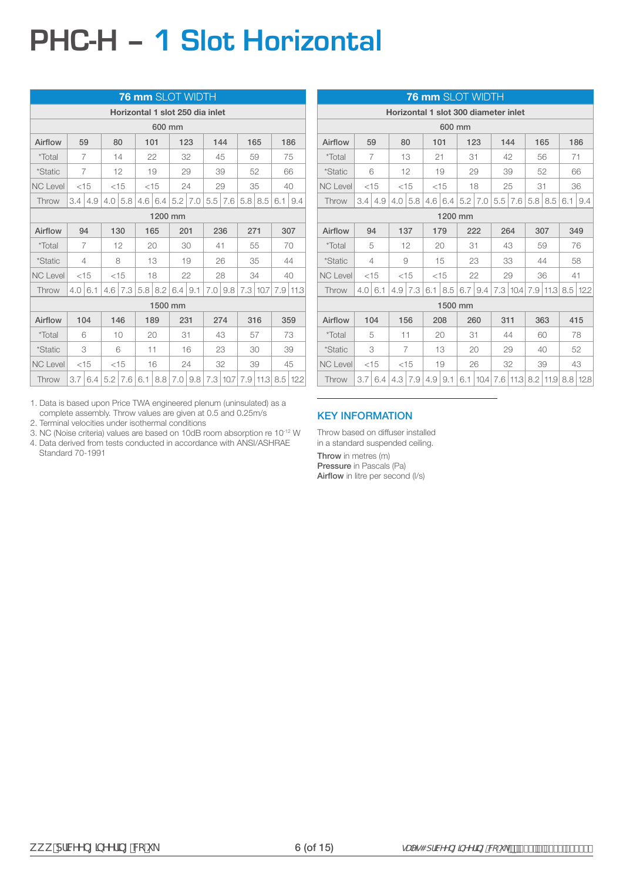# **PHC-H – 1 Slot Horizontal**

|                 |     |                                             |     |                |     | 76 mm SLOT WIDTH                |     |                |     |           |     |              |     |            |
|-----------------|-----|---------------------------------------------|-----|----------------|-----|---------------------------------|-----|----------------|-----|-----------|-----|--------------|-----|------------|
|                 |     |                                             |     |                |     | Horizontal 1 slot 250 dia inlet |     |                |     |           |     |              |     |            |
|                 |     |                                             |     |                |     | 600 mm                          |     |                |     |           |     |              |     |            |
| Airflow         |     | 59                                          | 80  |                | 101 |                                 |     | 123            |     | 144       |     | 165          |     | 186        |
| *Total          |     | 7                                           |     | 14             |     | 22                              |     | 32             |     | 45        |     | 59           |     | 75         |
| <i>*Static</i>  |     | 7                                           |     | 12             |     | 19                              |     | 29             |     | 39        |     | 52           |     | 66         |
| <b>NC Level</b> |     | $<$ 15                                      |     | $<$ 15         |     | $<$ 15                          |     | 24             |     | 29        |     | 35           |     | 40         |
| Throw           | 3.4 | 4.9                                         | 4.0 | 5.8            |     |                                 |     |                | 5.5 | 7.6       | 5.8 | 8.5          | 6.1 | 9.4        |
|                 |     | $5.2 \mid 7.0$<br>$4.6 \mid 6.4$<br>1200 mm |     |                |     |                                 |     |                |     |           |     |              |     |            |
| Airflow         |     | 94                                          |     | 130            |     | 165                             | 201 |                |     | 236       | 271 |              |     | 307        |
| <i>*Total</i>   |     | $\overline{7}$                              |     | 12             |     | 20                              |     | 30             | 41  |           |     | 55           |     | 70         |
| *Static         |     | $\overline{4}$                              |     | 8              |     | 13                              |     | 19             |     | 26        |     | 35           |     | 44         |
| <b>NC Level</b> |     | $<$ 15                                      |     | $<$ 15         |     | 18                              |     | 22             |     | 28        | 34  |              |     | 40         |
| Throw           | 4.0 | 6.1                                         |     | $4.6 \mid 7.3$ |     | $5.8$   8.2                     |     | $6.4 \mid 9.1$ |     | $7.0$ 9.8 |     | 7.3 10.7     | 7.9 | 11.3       |
|                 |     |                                             |     |                |     | 1500 mm                         |     |                |     |           |     |              |     |            |
| Airflow         |     | 104                                         |     | 146            |     | 189                             | 231 |                |     | 274       |     | 316          |     | 359        |
| *Total          |     | 6                                           |     | 10             |     | 20                              | 31  |                |     | 43        |     | 57           |     | 73         |
| <i>*Static</i>  |     | 3                                           |     | 6              |     | 11                              |     | 16             |     | 23        |     | 30           |     | 39         |
| <b>NC Level</b> |     | $<$ 15                                      |     | $<$ 15         |     | 16                              |     | 24             |     | 32        |     | 39           |     | 45         |
| Throw           | 3.7 | 6.4                                         |     | $5.2$   $7.6$  | 6.1 | 8.8                             |     | $7.0$ 9.8      |     | 7.3 10.7  |     | $7.9$   11.3 |     | $8.5$ 12.2 |

1. Data is based upon Price TWA engineered plenum (uninsulated) as a complete assembly. Throw values are given at 0.5 and 0.25m/s

2. Terminal velocities under isothermal conditions

3. NC (Noise criteria) values are based on 10dB room absorption re 10-12 W 4. Data derived from tests conducted in accordance with ANSI/ASHRAE Standard 70-1991

|                 |                                                          |                |     |        |                |        | <b>76 mm</b> SLOT WIDTH              |      |     |      |     |              |                 |              |
|-----------------|----------------------------------------------------------|----------------|-----|--------|----------------|--------|--------------------------------------|------|-----|------|-----|--------------|-----------------|--------------|
|                 |                                                          |                |     |        |                |        | Horizontal 1 slot 300 diameter inlet |      |     |      |     |              |                 |              |
|                 |                                                          |                |     |        |                | 600 mm |                                      |      |     |      |     |              |                 |              |
| Airflow         |                                                          | 59             |     | 80     | 101            |        | 123                                  |      |     | 144  |     | 165          | 186             |              |
| *Total          |                                                          | 7              |     | 13     | 21             |        | 31                                   |      |     | 42   |     | 56           | 71              |              |
| *Static         |                                                          | 6              |     | 12     |                | 19     | 29                                   |      |     | 39   |     | 52           | 66              |              |
| <b>NC Level</b> |                                                          | $<$ 15         |     | $<$ 15 |                | $<$ 15 |                                      | 18   |     | 25   |     | 31           | 36              |              |
| Throw           | 3.4                                                      | 4.9            |     |        | $4.6 \mid 6.4$ |        |                                      |      |     |      |     | $5.8$   8.5  | 6.1             | 9.4          |
|                 | 4.0   5.8<br>$5.2 \mid 7.0$<br>$5.5 \mid 7.6$<br>1200 mm |                |     |        |                |        |                                      |      |     |      |     |              |                 |              |
| Airflow         |                                                          | 94             |     | 137    |                | 179    | 222                                  |      |     | 264  |     | 307          | 349             |              |
| *Total          |                                                          | 5              |     | 12     |                | 20     | 31                                   |      |     | 43   |     | 59           |                 | 76           |
| <i>*Static</i>  |                                                          | $\overline{4}$ |     | 9      |                | 15     | 23                                   |      |     | 33   |     | 44           |                 | 58           |
| <b>NC Level</b> |                                                          | $<$ 15         |     | $<$ 15 |                | $<$ 15 | 22                                   |      |     | 29   |     | 36           | 41              |              |
| Throw           | 4.0                                                      | 6.1            | 4.9 | 7.3    | 6.1            | 8.5    | 6.7                                  | 9.4  | 7.3 | 10.4 | 7.9 |              | $11.3$ 8.5 12.2 |              |
|                 |                                                          |                |     |        |                |        | 1500 mm                              |      |     |      |     |              |                 |              |
| Airflow         |                                                          | 104            |     | 156    |                | 208    |                                      | 260  | 311 |      |     | 363          |                 | 415          |
| <i>*</i> Total  |                                                          | 5              | 11  |        |                | 20     | 31                                   |      |     | 44   |     | 60           |                 | 78           |
| <i>*Static</i>  |                                                          | 3              |     | 7      |                | 13     |                                      | 20   |     | 29   |     | 40           |                 | 52           |
| <b>NC Level</b> |                                                          | $<$ 15         |     | $<$ 15 |                | 19     |                                      | 26   |     | 32   |     | 39           |                 | 43           |
| Throw           | 3.7                                                      | 6.4            | 4.3 | 7.9    | 4.9            | 9.1    | 6.1                                  | 10.4 | 7.6 | 11.3 |     | $8.2$   11.9 |                 | $8.8$   12.8 |

#### KEY INFORMATION

Throw based on diffuser installed in a standard suspended ceiling.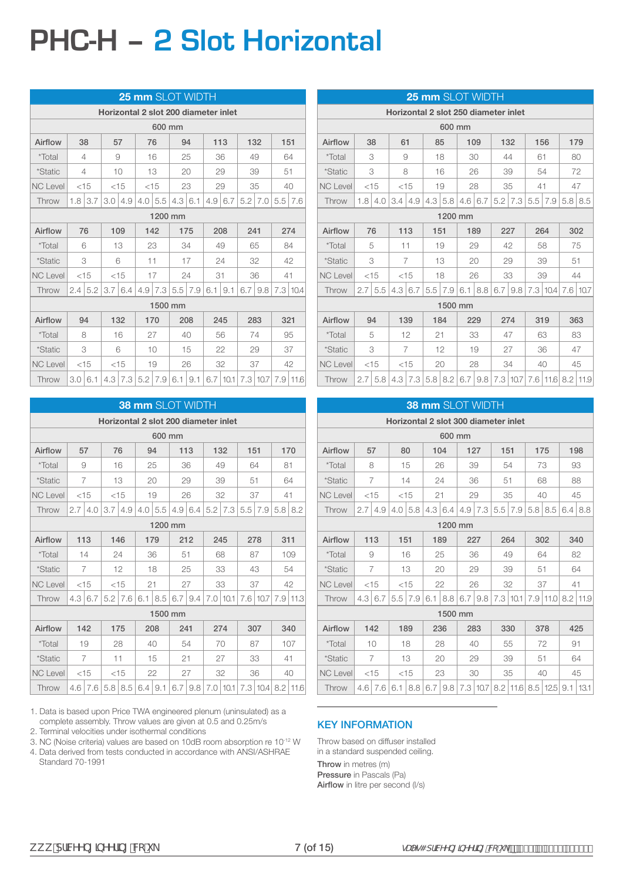# **PHC-H – 2 Slot Horizontal**

|                 |                |                |                                      |                |     | 25 mm SLOT WIDTH |                |                   |                |              |           |               |          |              |
|-----------------|----------------|----------------|--------------------------------------|----------------|-----|------------------|----------------|-------------------|----------------|--------------|-----------|---------------|----------|--------------|
|                 |                |                | Horizontal 2 slot 200 diameter inlet |                |     |                  |                |                   |                |              |           |               |          |              |
|                 |                |                |                                      |                |     | 600 mm           |                |                   |                |              |           |               |          |              |
| Airflow         | 38             |                | 57                                   |                |     | 76               |                | 94                | 113            |              | 132       |               | 151      |              |
| <i>*</i> Total  | $\overline{4}$ |                |                                      | 9              |     | 16               |                | 25                |                | 36           | 49        |               | 64       |              |
| <i>*Static</i>  | 4              |                |                                      | 10             |     | 13               |                | 20                |                | 29           | 39        |               | 51       |              |
| <b>NC Level</b> | $<$ 15         |                |                                      | $<$ 15         |     | $<$ 15           | 23             |                   | 29             |              | 35        |               | 40       |              |
| Throw           | 1.8            | 3.7            |                                      | 3.014.9        | 4.0 | 5.5              | $4.3 \mid 6.1$ |                   | $4.9 \mid 6.7$ |              |           | $5.2$   $7.0$ | 5.5      | 17.6         |
|                 |                | 1200 mm        |                                      |                |     |                  |                |                   |                |              |           |               |          |              |
| Airflow         | 76             |                |                                      | 109            |     | 142              |                | 175               |                | 208          | 241       |               |          | 274          |
| <i>*Total</i>   | 6              |                |                                      | 13             |     | 23               | 34             |                   |                | 49           | 65        |               | 84       |              |
| *Static         |                | 3              |                                      | 6              |     | 11               |                | 17                | 24             |              | 32        |               | 42       |              |
| <b>NC Level</b> | $<$ 15         |                |                                      | $<$ 15         |     | 17               |                | 24                | 31             |              | 36        |               | 41       |              |
| Throw           |                | $2.4 \mid 5.2$ |                                      | $3.7 \mid 6.4$ | 4.9 | 7.3              |                | $5.5 \mid 7.9$    | 6.1            | 9.1          | $6.7$ 9.8 |               | 7.3 10.4 |              |
|                 |                |                |                                      |                |     | 1500 mm          |                |                   |                |              |           |               |          |              |
| Airflow         |                | 94             |                                      | 132            |     | 170              |                | 208               |                | 245          | 283       |               | 321      |              |
| <i>*Total</i>   |                | 8              |                                      | 16             |     | 27               |                | 40                |                | 56           | 74        |               |          | 95           |
| <i>*Static</i>  |                | 3              |                                      | 6              |     | 10               |                | 15                |                | 22           |           | 29            |          | 37           |
| <b>NC Level</b> |                | $<$ 15         |                                      | $<$ 15         |     | 19               |                | 26                |                | 32           | 37        |               |          | 42           |
| Throw           | 3.0            | 6.1            |                                      | $4.3$   $7.3$  |     | $5.2$ 7.9        |                | $6.1 \,   \, 9.1$ |                | $6.7$   10.1 |           | 7.3 10.7      |          | $7.9$   11.6 |

|                 |                |                      |     |                                      |     |                |         | <b>38 mm SLOT WIDTH</b> |  |            |                                                    |          |     |      |
|-----------------|----------------|----------------------|-----|--------------------------------------|-----|----------------|---------|-------------------------|--|------------|----------------------------------------------------|----------|-----|------|
|                 |                |                      |     | Horizontal 2 slot 200 diameter inlet |     |                |         |                         |  |            |                                                    |          |     |      |
|                 |                |                      |     |                                      |     | 600 mm         |         |                         |  |            |                                                    |          |     |      |
| Airflow         | 57             |                      | 76  |                                      | 94  |                |         | 113                     |  | 132        | 151                                                |          |     | 170  |
| <i>*</i> Total  | 9              |                      |     | 16                                   |     | 25             |         | 36                      |  | 49         | 64                                                 |          | 81  |      |
| *Static         | $\overline{7}$ |                      |     | 13                                   |     | 20             |         | 29                      |  | 39         | 51                                                 |          |     | 64   |
| <b>NC Level</b> |                | $<$ 15               |     | $<$ 15                               |     | 19             |         | 26                      |  | 32         | 37                                                 |          | 41  |      |
| Throw           | 2.7            | 4.0                  | 3.7 | 4.9                                  | 4.0 | 5.5            | 4.9     | 6.4                     |  |            | 5.5                                                | 7.9      | 5.8 | 8.2  |
|                 |                | $5.2$ 7.3<br>1200 mm |     |                                      |     |                |         |                         |  |            |                                                    |          |     |      |
| Airflow         | 113            |                      |     | 146                                  |     | 179            |         | 212                     |  | 245        | 278                                                |          | 311 |      |
| *Total          |                | 14                   |     | 24                                   |     | 36             |         | 51                      |  | 68         | 87                                                 |          |     | 109  |
| <i>*Static</i>  |                | 7                    |     | 12                                   |     | 18             |         | 25                      |  | 33         | 43                                                 |          |     | 54   |
| <b>NC Level</b> | $<$ 15         |                      |     | $<$ 15                               | 21  |                |         | 27                      |  | 33         | 37                                                 |          |     | 42   |
| Throw           | 4.3            | 6.7                  | 5.2 | 7.6                                  | 6.1 | 8.5            |         | $6.7 \mid 9.4$          |  | $7.0$ 10.1 |                                                    | 7.6 10.7 | 7.9 | 11.3 |
|                 |                |                      |     |                                      |     |                | 1500 mm |                         |  |            |                                                    |          |     |      |
| Airflow         | 142            |                      |     | 175                                  |     | 208            |         | 241                     |  | 274        | 307                                                |          |     | 340  |
| <i>*Total</i>   |                | 19                   |     | 28                                   |     | 40             |         | 54                      |  | 70         | 87                                                 |          |     | 107  |
| <i>*Static</i>  |                | $\overline{7}$       |     | 11                                   |     | 15             |         | 21                      |  | 27         | 33                                                 |          |     | 41   |
| <b>NC Level</b> |                | $<$ 15               |     | $<$ 15                               |     | 22             |         | 27                      |  | 32         | 36                                                 |          |     | 40   |
| Throw           | 4.6            | 7.6                  |     | $5.8$   8.5                          |     | $6.4 \mid 9.1$ |         |                         |  |            | $6.7$   9.8   7.0   10.1   7.3   10.4   8.2   11.6 |          |     |      |

1. Data is based upon Price TWA engineered plenum (uninsulated) as a complete assembly. Throw values are given at 0.5 and 0.25m/s

2. Terminal velocities under isothermal conditions

3. NC (Noise criteria) values are based on 10dB room absorption re 10-12 W

4. Data derived from tests conducted in accordance with ANSI/ASHRAE Standard 70-1991

|                 |        |        |     |        | 25 mm SLOT WIDTH                     |               |         |                   |  |                |     |                   |           |     |
|-----------------|--------|--------|-----|--------|--------------------------------------|---------------|---------|-------------------|--|----------------|-----|-------------------|-----------|-----|
|                 |        |        |     |        | Horizontal 2 slot 250 diameter inlet |               |         |                   |  |                |     |                   |           |     |
|                 |        |        |     |        |                                      | 600 mm        |         |                   |  |                |     |                   |           |     |
| Airflow         | 38     |        | 61  |        |                                      | 85            |         | 109               |  | 132            |     | 156               |           | 179 |
| <i>*</i> Total  |        | 3      | 9   |        |                                      | 18            |         | 30                |  | 44             | 61  |                   |           | 80  |
| <i>*Static</i>  |        | 3      | 8   |        |                                      | 16            |         | 26                |  | 39             |     | 54                |           | 72  |
| <b>NC Level</b> | $<$ 15 |        |     | $<$ 15 |                                      | 19            |         | 28                |  | 35             | 41  |                   |           | 47  |
| Throw           | 1.8    | 4.0    | 3.4 | 4.9    |                                      | 4.3 5.8       |         | $4.6 \mid 6.7$    |  | $5.2$ 7.3      |     | $5.5$   $7.9$     | $5.8$ 8.5 |     |
|                 |        |        |     |        |                                      |               | 1200 mm |                   |  |                |     |                   |           |     |
| Airflow         | 76     |        | 113 |        | 151                                  |               |         | 189               |  | 227            | 264 |                   |           | 302 |
| <i>*</i> Total  |        | 5      | 11  |        |                                      | 19            |         | 29                |  | 42             |     | 58                |           | 75  |
| <i>*Static</i>  |        | 3      | 7   |        |                                      | 13            |         | 20                |  | 29             |     | 39                |           | 51  |
| <b>NC Level</b> |        | $<$ 15 |     | $<$ 15 |                                      | 18            |         | 26                |  | 33             |     | 39                |           | 44  |
| Throw           | 2.7    | 5.5    | 4.3 | 6.7    |                                      | $5.5$   $7.9$ |         | $6.1 \,   \, 8.8$ |  | $6.7 \mid 9.8$ |     | 7.3 10.4 7.6 10.7 |           |     |
|                 |        |        |     |        |                                      |               | 1500 mm |                   |  |                |     |                   |           |     |
| Airflow         | 94     |        |     | 139    |                                      | 184           |         | 229               |  | 274            | 319 |                   |           | 363 |
| <i>*</i> Total  |        | 5      |     | 12     | 21                                   |               |         | 33                |  | 47             |     | 63                |           | 83  |
| <i>*Static</i>  |        | 3      |     | 7      |                                      | 12            |         | 19                |  | 27             |     | 36                |           | 47  |
| <b>NC Level</b> |        | $<$ 15 |     | $<$ 15 |                                      | 20            |         | 28                |  | 34             |     | 40                |           | 45  |
| Throw           | 2.7    | 5.8    |     |        | $4.3$   $7.3$   $5.8$   $8.2$        |               |         | $6.7$ 9.8         |  | 7.3 10.7       |     | 7.6 11.6 8.2 11.9 |           |     |

|                 |                |     |     |               |     |         | <b>38 mm SLOT WIDTH</b> |                |                                      |                 |                       |     |     |                 |
|-----------------|----------------|-----|-----|---------------|-----|---------|-------------------------|----------------|--------------------------------------|-----------------|-----------------------|-----|-----|-----------------|
|                 |                |     |     |               |     |         |                         |                | Horizontal 2 slot 300 diameter inlet |                 |                       |     |     |                 |
|                 |                |     |     |               |     | 600 mm  |                         |                |                                      |                 |                       |     |     |                 |
| Airflow         | 57             |     |     | 80            | 104 |         | 127                     |                | 151                                  |                 |                       | 175 |     | 198             |
| *Total          | 8              |     |     | 15            |     | 26      | 39                      |                | 54                                   |                 |                       | 73  |     | 93              |
| *Static         | $\overline{7}$ |     |     | 14            | 24  |         | 36                      |                | 51                                   |                 |                       | 68  |     | 88              |
| <b>NC Level</b> | < 15           |     |     | $<$ 15        | 21  |         | 29                      |                | 35                                   |                 |                       | 40  |     | 45              |
| Throw           | 2.7            | 4.9 | 4.0 | 5.8           | 4.3 | 6.4     |                         | $4.9 \mid 7.3$ | 5.5                                  | 7.9             | 5.8                   | 8.5 | 6.4 | 8.8             |
|                 | 1200 mm        |     |     |               |     |         |                         |                |                                      |                 |                       |     |     |                 |
| Airflow         | 113            |     | 151 |               | 189 |         | 227                     |                | 264                                  |                 |                       | 302 |     | 340             |
| *Total          | 9              |     |     | 16            | 25  |         | 36                      |                | 49                                   |                 |                       | 64  |     | 82              |
| *Static         | $\overline{7}$ |     |     | 13            | 20  |         | 29                      |                | 39                                   |                 | 51                    |     |     | 64              |
| <b>NC Level</b> | < 15           |     |     | < 15          |     | 22      | 26                      |                | 32                                   |                 |                       | 37  |     | 41              |
| Throw           | 4.3            | 6.7 |     | $5.5$   $7.9$ | 6.1 | 8.8     |                         | $6.7 \mid 9.8$ |                                      | $7.3 \mid 10.1$ | 7.9                   |     |     | $11.0$ 8.2 11.9 |
|                 |                |     |     |               |     | 1500 mm |                         |                |                                      |                 |                       |     |     |                 |
| Airflow         | 142            |     |     | 189           |     | 236     | 283                     |                | 330                                  |                 |                       | 378 |     | 425             |
| <i>*</i> Total  | 10             |     |     | 18            |     | 28      | 40                      |                |                                      | 55              |                       | 72  |     | 91              |
| *Static         | 7              |     |     | 13            | 20  |         | 29                      |                | 39                                   |                 | 51                    |     |     | 64              |
| <b>NC Level</b> | $<$ 15         |     |     | $<$ 15        |     | 23      | 30                      |                | 35                                   |                 |                       | 40  |     | 45              |
| Throw           | 4.6            | 7.6 | 6.1 | 8.8           | 6.7 | 9.8     |                         | 7.3 10.7       |                                      |                 | 8.2 11.6 8.5 12.5 9.1 |     |     | 13.1            |

#### KEY INFORMATION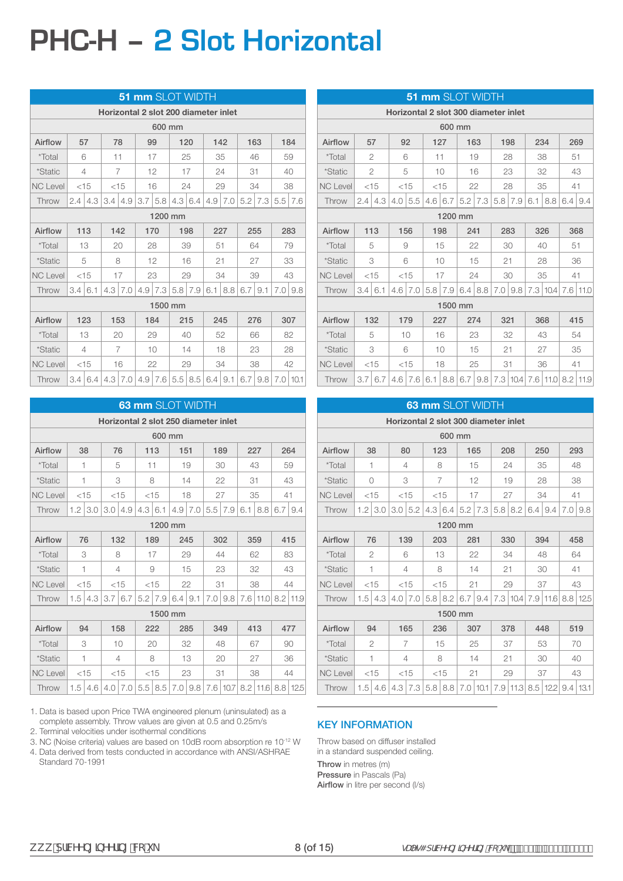# **PHC-H – 2 Slot Horizontal**

|                 |     |        |                                      |                |     | <b>51 mm SLOT WIDTH</b> |    |                   |                |                |                  |               |              |      |
|-----------------|-----|--------|--------------------------------------|----------------|-----|-------------------------|----|-------------------|----------------|----------------|------------------|---------------|--------------|------|
|                 |     |        | Horizontal 2 slot 200 diameter inlet |                |     |                         |    |                   |                |                |                  |               |              |      |
|                 |     |        |                                      |                |     | 600 mm                  |    |                   |                |                |                  |               |              |      |
| Airflow         | 57  |        | 78                                   |                |     | 99                      |    | 120               |                | 142            |                  | 163           | 184          |      |
| <i>*</i> Total  | 6   |        | 11                                   |                |     | 17                      | 25 |                   |                | 35             |                  | 46            | 59           |      |
| <i>*Static</i>  | 4   |        |                                      | $\overline{7}$ |     | 12                      |    | 17                |                | 24             | 31               |               | 40           |      |
| <b>NC Level</b> |     | $<$ 15 | $<$ 15                               |                |     | 16                      | 24 |                   |                | 29             |                  | 34            | 38           |      |
| Throw           | 2.4 | 4.3    | 3.4                                  | 4.9            | 3.7 | 5.8                     |    | $4.3 \mid 6.4$    |                | $4.9 \mid 7.0$ |                  | $5.2$   $7.3$ | 5.5          | 17.6 |
|                 |     |        |                                      |                |     | 1200 mm                 |    |                   |                |                |                  |               |              |      |
| Airflow         | 113 |        | 142                                  |                |     | 170                     |    | 198               |                | 227            |                  | 255           |              | 283  |
| *Total          |     | 13     | 20                                   |                |     | 28                      |    | 39                | 51             |                |                  | 64            |              | 79   |
| *Static         |     | 5      |                                      | 8              |     | 12                      |    | 16                | 21             |                |                  | 27            | 33           |      |
| <b>NC Level</b> |     | $<$ 15 |                                      | 17             |     | 23                      |    | 29                | 34             |                |                  | 39            | 43           |      |
| Throw           | 3.4 | 6.1    |                                      | 4.3 7.0        |     | $4.9$ 7.3               |    | $5.8$ 7.9         | 6.1            | 8.8            | 6.719.1          |               | 7.019.8      |      |
|                 |     |        |                                      |                |     | 1500 mm                 |    |                   |                |                |                  |               |              |      |
| Airflow         | 123 |        | 153                                  |                |     | 184                     |    | 215               |                | 245            |                  | 276           |              | 307  |
| <i>*Total</i>   |     | 13     |                                      | 20             |     | 29                      |    | 40                |                | 52             |                  | 66            | 82           |      |
| <i>*Static</i>  |     | 4      |                                      | $\overline{7}$ |     | 10                      |    | 14                |                | 18             |                  | 23            |              | 28   |
| <b>NC Level</b> |     | $<$ 15 |                                      | 16             |     | 22                      |    | 29                |                | 34             |                  | 38            |              | 42   |
| Throw           | 3.4 | 6.4    |                                      | $4.3 \mid 7.0$ |     | $4.9$ 7.6               |    | $5.5 \,   \, 8.5$ | $6.4 \mid 9.1$ |                | 6.7 <sub>1</sub> | 9.8           | $7.0$   10.1 |      |

|                 |     |        |     |                |     |        | <b>63 mm SLOT WIDTH</b>                        |     |     |     |     |                           |     |     |
|-----------------|-----|--------|-----|----------------|-----|--------|------------------------------------------------|-----|-----|-----|-----|---------------------------|-----|-----|
|                 |     |        |     |                |     |        | Horizontal 2 slot 250 diameter inlet           |     |     |     |     |                           |     |     |
|                 |     |        |     |                |     | 600 mm |                                                |     |     |     |     |                           |     |     |
| Airflow         | 38  |        |     | 76             | 113 |        | 151                                            |     | 189 |     |     | 227                       |     | 264 |
| <i>*</i> Total  | 1   |        |     | 5              | 11  |        |                                                | 19  | 30  |     | 43  |                           |     | 59  |
| *Static         | 1   |        |     | 3              | 8   |        |                                                | 14  |     | 22  | 31  |                           |     | 43  |
| <b>NC Level</b> |     | $<$ 15 |     | $<$ 15         |     | $<$ 15 |                                                | 18  |     | 27  | 35  |                           |     | 41  |
| Throw           | 1.2 | 3.0    | 3.0 | 4.9            |     | 6.1    | 4.9                                            | 7.0 | 5.5 | 7.9 | 6.1 | 8.8                       | 6.7 | 9.4 |
|                 |     |        |     | 4.3<br>1200 mm |     |        |                                                |     |     |     |     |                           |     |     |
| Airflow         | 76  |        |     | 132            | 189 |        | 245                                            |     |     | 302 | 359 |                           |     | 415 |
| *Total          |     | 3      |     | 8              |     | 17     |                                                | 29  | 44  |     |     | 62                        |     | 83  |
| <i>*Static</i>  | 1   |        |     | 4              | 9   |        |                                                | 15  |     | 23  |     | 32                        |     | 43  |
| <b>NC Level</b> |     | $<$ 15 |     | $<$ 15         |     | $<$ 15 |                                                | 22  | 31  |     | 38  |                           |     | 44  |
| Throw           | 1.5 | 4.3    | 3.7 | 6.7            | 5.2 | 7.9    | $6.4 \mid 9.1$                                 |     | 7.0 | 9.8 |     | 7.6 11.0 8.2 11.9         |     |     |
|                 |     |        |     |                |     |        | 1500 mm                                        |     |     |     |     |                           |     |     |
| Airflow         |     | 94     |     | 158            | 222 |        | 285                                            |     |     | 349 | 413 |                           |     | 477 |
| *Total          |     | 3      |     | 10             |     | 20     |                                                | 32  |     | 48  | 67  |                           |     | 90  |
| <i>*Static</i>  | 1   |        |     | 4              |     | 8      |                                                | 13  |     | 20  |     | 27                        |     | 36  |
| <b>NC Level</b> |     | $<$ 15 |     | $<$ 15         |     | $<$ 15 |                                                | 23  | 31  |     |     | 38                        |     | 44  |
| Throw           | 1.5 | 4.6    |     | $4.0$ 7.0      |     |        | $5.5$   $8.5$   $7.0$   $9.8$   $7.6$   $10.7$ |     |     |     |     | $8.2$   11.6   8.8   12.5 |     |     |

1. Data is based upon Price TWA engineered plenum (uninsulated) as a complete assembly. Throw values are given at 0.5 and 0.25m/s

2. Terminal velocities under isothermal conditions

3. NC (Noise criteria) values are based on 10dB room absorption re 10-12 W

4. Data derived from tests conducted in accordance with ANSI/ASHRAE Standard 70-1991

|                       |                  |                |     |        |           |         | <b>51 mm SLOT WIDTH</b>   |                   |                                      |     |            |                            |     |     |  |  |
|-----------------------|------------------|----------------|-----|--------|-----------|---------|---------------------------|-------------------|--------------------------------------|-----|------------|----------------------------|-----|-----|--|--|
|                       |                  |                |     |        |           |         |                           |                   | Horizontal 2 slot 300 diameter inlet |     |            |                            |     |     |  |  |
|                       |                  |                |     |        |           | 600 mm  |                           |                   |                                      |     |            |                            |     |     |  |  |
| Airflow               | 57               |                | 92  |        |           | 127     | 163                       |                   | 198                                  |     |            | 234                        |     | 269 |  |  |
| <i>*Total</i>         |                  | $\overline{2}$ | 6   |        | 11        |         |                           | 19                | 28                                   |     |            | 38                         | 51  |     |  |  |
| *Static               |                  | $\overline{2}$ | 5   |        |           | 10      |                           | 16                | 23                                   |     |            | 32                         |     | 43  |  |  |
| <b>NC Level</b>       |                  | $<$ 15         |     | $<$ 15 |           | $<$ 15  |                           | 22                | 28                                   |     |            | 35                         |     | 41  |  |  |
| Throw                 | 2.4              | 4.3            | 4.0 | 5.5    |           | 4.6 6.7 |                           | $5.2$ 7.3         | 5.8                                  | 7.9 | 6.1        | 8.8                        | 6.4 | 9.4 |  |  |
|                       |                  |                |     |        |           |         | 1200 mm                   |                   |                                      |     |            |                            |     |     |  |  |
| Airflow               | 113              |                | 156 |        |           | 198     | 241                       |                   | 283                                  |     | 326<br>368 |                            |     |     |  |  |
| <i>*</i> Total        |                  | 5              |     | 9      |           | 15      |                           | 22                | 30                                   |     |            | 40                         |     | 51  |  |  |
| <i><b>*Static</b></i> |                  | 3              | 6   |        |           | 10      |                           | 15                | 21                                   |     |            | 28                         |     | 36  |  |  |
| <b>NC Level</b>       |                  | $<$ 15         |     | $<$ 15 |           | 17      | 24                        |                   | 30                                   |     |            | 35                         | 41  |     |  |  |
| Throw                 | 3.4              | 6.1            | 4.6 | 7.0    | $5.8$ 7.9 |         |                           | $6.4 \,   \, 8.8$ | 7.0                                  | 9.8 |            | 7.3 10.4 7.6 11.0          |     |     |  |  |
|                       |                  |                |     |        |           |         | 1500 mm                   |                   |                                      |     |            |                            |     |     |  |  |
| Airflow               |                  | 132            |     | 179    |           | 227     |                           | 274               | 321                                  |     |            | 368                        |     | 415 |  |  |
| <i>*</i> Total        |                  | 5              |     | 10     |           | 16      |                           | 23                |                                      | 32  |            | 43                         |     | 54  |  |  |
| *Static               |                  | 3              |     | 6      |           | 10      |                           | 15                | 21                                   |     |            | 27                         |     | 35  |  |  |
| <b>NC Level</b>       |                  | $<$ 15         |     | $<$ 15 |           | 18      |                           | 25                | 31                                   |     |            | 36                         |     | 41  |  |  |
| Throw                 | 3.7 <sub>1</sub> | 6.7            |     |        |           |         | $4.6$ 7.6 6.1 8.8 6.7 9.8 |                   |                                      |     |            | 7.3 10.4 7.6 11.0 8.2 11.9 |     |     |  |  |

|                 |                              |                |                |     |                |             |     | 63 mm SLOT WIDTH  |                                      |                 |     |                           |         |      |
|-----------------|------------------------------|----------------|----------------|-----|----------------|-------------|-----|-------------------|--------------------------------------|-----------------|-----|---------------------------|---------|------|
|                 |                              |                |                |     |                |             |     |                   | Horizontal 2 slot 300 diameter inlet |                 |     |                           |         |      |
|                 |                              |                |                |     |                | 600 mm      |     |                   |                                      |                 |     |                           |         |      |
| Airflow         |                              | 38             | 80             |     | 123            |             |     | 165               | 208                                  |                 |     | 250                       |         | 293  |
| *Total          |                              | 1              | 4              |     | 8              |             |     | 15                | 24                                   |                 |     | 35                        |         | 48   |
| <i>*Static</i>  |                              | $\bigcirc$     | 3              |     | $\overline{7}$ |             |     | 12                | 19                                   |                 |     | 28                        |         | 38   |
| <b>NC Level</b> |                              | < 15           | $<$ 15         |     |                | $<$ 15      |     | 17                | 27                                   |                 |     | 34                        | 41      |      |
| Throw           | 1.2                          | 3.0            | 3.0            | 5.2 |                |             |     |                   |                                      | $5.8$ 8.2       | 6.4 | 9.4                       | 7.019.8 |      |
|                 | $4.3$ 6.4 5.2 7.3<br>1200 mm |                |                |     |                |             |     |                   |                                      |                 |     |                           |         |      |
| Airflow         |                              | 76             | 139            |     | 203            |             | 281 |                   | 330                                  |                 |     | 394                       |         | 458  |
| *Total          |                              | $\overline{2}$ |                | 6   |                | 13          |     | 22                | 34                                   |                 |     | 48                        |         | 64   |
| *Static         |                              | 1              | $\overline{4}$ |     |                | 8           |     | 14                | 21                                   |                 |     | 30                        | 41      |      |
| <b>NC Level</b> |                              | < 15           | $<$ 15         |     |                | $<$ 15      | 21  |                   | 29                                   |                 |     | 37                        |         | 43   |
| Throw           | 1.5                          | 4.3            | 4.0            | 7.0 |                | $5.8$   8.2 |     | $6.7 \,   \, 9.4$ |                                      | $7.3 \mid 10.4$ |     | $7.9$   11.6              | 8.8     | 12.5 |
|                 |                              |                |                |     |                | 1500 mm     |     |                   |                                      |                 |     |                           |         |      |
| Airflow         |                              | 94             |                | 165 |                | 236         |     | 307               | 378                                  |                 |     | 448                       |         | 519  |
| <i>*</i> Total  |                              | 2              |                | 7   |                | 15          |     | 25                | 37                                   |                 |     | 53                        |         | 70   |
| *Static         |                              | 1              | $\overline{A}$ |     |                | 8           |     | 14                | 21                                   |                 |     | 30                        |         | 40   |
| <b>NC Level</b> |                              | $<$ 15         | < 15           |     |                | < 15        | 21  |                   | 29                                   |                 |     | 37                        |         | 43   |
| Throw           | 1.5                          | 4.6            | 4.3            | 7.3 |                | $5.8$   8.8 |     | $7.0$   10.1      |                                      |                 |     | 7.9 11.3 8.5 122 9.4 13.1 |         |      |

#### KEY INFORMATION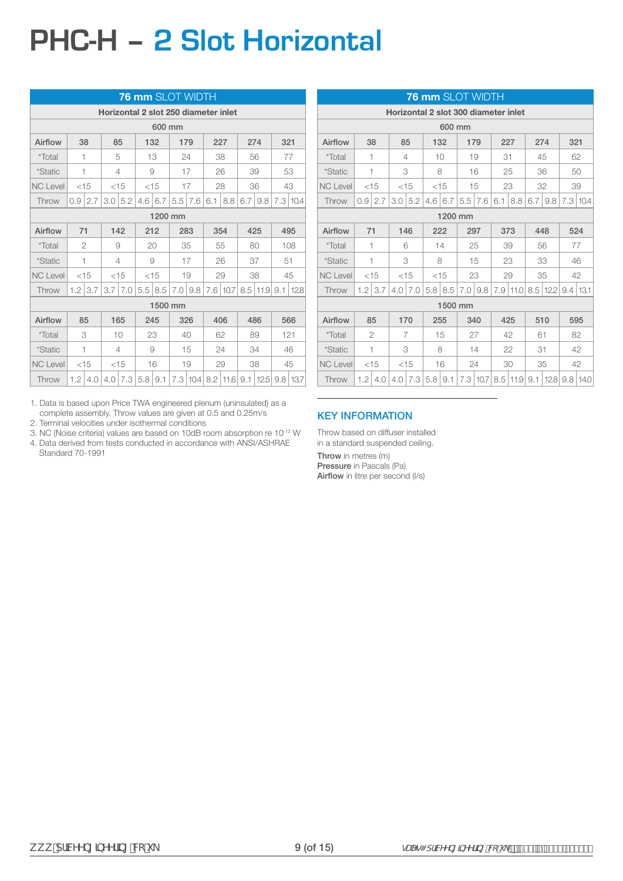# **PHC-H – 2 Slot Horizontal**

|                 |                  |                           |                                      |                |                  | <b>76 mm SLOT WIDTH</b> |     |           |     |              |                  |               |     |                 |
|-----------------|------------------|---------------------------|--------------------------------------|----------------|------------------|-------------------------|-----|-----------|-----|--------------|------------------|---------------|-----|-----------------|
|                 |                  |                           | Horizontal 2 slot 250 diameter inlet |                |                  |                         |     |           |     |              |                  |               |     |                 |
|                 |                  |                           |                                      |                |                  | 600 mm                  |     |           |     |              |                  |               |     |                 |
| Airflow         | 38               |                           | 85                                   |                |                  | 132                     |     | 179       |     | 227          |                  | 274           | 321 |                 |
| *Total          | 1                |                           | 5                                    |                |                  | 13                      |     | 24        |     | 38           |                  | 56            |     | 77              |
| <i>*Static</i>  | 1                |                           |                                      | 4              |                  | 9                       |     | 17        |     | 26           |                  | 39            |     | 53              |
| <b>NC Level</b> | $<$ 15           |                           |                                      | $<$ 15         |                  | $<$ 15                  |     | 17        |     | 28           |                  | 36            |     | 43              |
| Throw           | 0.9 <sup>°</sup> | 2.7                       |                                      |                | 4.6 <sub>1</sub> | 6.7                     | 5.5 | 7.6       | 6.1 | 8.8          | 6.7 <sub>1</sub> | 9.8           |     | $7.3 \mid 10.4$ |
|                 |                  | $3.0 \mid 5.2$<br>1200 mm |                                      |                |                  |                         |     |           |     |              |                  |               |     |                 |
| Airflow         | 71               |                           |                                      | 142            |                  | 212                     |     | 283       |     | 354          |                  | 425           |     | 495             |
| <i>*Total</i>   | $\mathfrak{D}$   |                           | 9                                    |                |                  | 20                      |     | 35        |     | 55           | 80               |               |     | 108             |
| *Static         | 1                |                           |                                      | 4              |                  | 9                       |     | 17        |     | 26           |                  | 37            | 51  |                 |
| <b>NC Level</b> |                  | $<$ 15                    |                                      | $<$ 15         |                  | $<$ 15                  |     | 19        |     | 29           |                  | 38            |     | 45              |
| Throw           |                  | $1.2$   3.7               |                                      | $3.7 \mid 7.0$ |                  | 5.5 8.5                 |     | $7.0$ 9.8 |     | 7.6 10.7     |                  | $8.5$ 11.9    | 9.1 | 12.8            |
|                 |                  |                           |                                      |                |                  | 1500 mm                 |     |           |     |              |                  |               |     |                 |
| Airflow         |                  | 85                        | 165                                  |                |                  | 245                     |     | 326       |     | 406          |                  | 486           |     | 566             |
| *Total          | 3                |                           |                                      | 10             |                  | 23                      |     | 40        |     | 62           |                  | 89            | 121 |                 |
| <i>*Static</i>  | 1                |                           |                                      | 4              |                  | 9                       |     | 15        |     | 24           |                  | 34            |     | 46              |
| <b>NC Level</b> |                  | $<$ 15                    |                                      | $<$ 15         |                  | 16                      |     | 19        |     | 29           |                  | 38            |     | 45              |
| Throw           | 1.2              | 4.0                       | 4.0                                  | 7.3            |                  | $5.8$   9.1             |     | 7.3 10.4  |     | $8.2$   11.6 |                  | $9.1 \, 12.5$ |     | $9.8$   13.7    |

1. Data is based upon Price TWA engineered plenum (uninsulated) as a complete assembly. Throw values are given at 0.5 and 0.25m/s

2. Terminal velocities under isothermal conditions

3. NC (Noise criteria) values are based on 10dB room absorption re 10-12 W 4. Data derived from tests conducted in accordance with ANSI/ASHRAE Standard 70-1991

|                 |              |                |                           |        |     |        | <b>76 mm</b> SLOT WIDTH |              |     |                                      |     |                   |     |          |
|-----------------|--------------|----------------|---------------------------|--------|-----|--------|-------------------------|--------------|-----|--------------------------------------|-----|-------------------|-----|----------|
|                 |              |                |                           |        |     |        |                         |              |     | Horizontal 2 slot 300 diameter inlet |     |                   |     |          |
|                 |              |                |                           |        |     | 600 mm |                         |              |     |                                      |     |                   |     |          |
| Airflow         | 38           |                |                           | 85     |     | 132    | 179                     |              |     | 227                                  |     | 274               | 321 |          |
| *Total          | 1            |                |                           | 4      |     | 10     |                         | 19           | 31  |                                      |     | 45                |     | 62       |
| <i>*Static</i>  | 1            |                |                           | 3      |     | 8      |                         | 16           |     | 25                                   |     | 36                |     | 50       |
| <b>NC Level</b> | $<$ 15       |                |                           | $<$ 15 |     | $<$ 15 |                         | 15           |     | 23                                   |     | 32                |     | 39       |
| Throw           | 0.9          | 2.7            | 3.0                       | 5.2    | 4.6 | 6.7    |                         |              | 6.1 | 8.8                                  | 6.7 | 9.8               |     | 7.3 10.4 |
|                 |              |                | $5.5 \mid 7.6$<br>1200 mm |        |     |        |                         |              |     |                                      |     |                   |     |          |
| Airflow         | 71           |                |                           | 146    |     | 222    | 297                     |              |     | 373                                  |     | 448               |     | 524      |
| <i>*</i> Total  | 1            |                |                           | 6      |     | 14     |                         | 25           |     | 39                                   |     | 56                |     | 77       |
| <i>*Static</i>  | $\mathbf{1}$ |                |                           | 3      |     | 8      |                         | 15           |     | 23                                   |     | 33                |     | 46       |
| <b>NC Level</b> | $<$ 15       |                |                           | $<$ 15 |     | $<$ 15 |                         | 23           |     | 29                                   |     | 35                |     | 42       |
| Throw           | 1.2          | 3.7            | 4.0                       | 7.0    | 5.8 | 8.5    |                         | $7.0$ 9.8    | 7.9 | 11.0                                 |     | 8.5 12.2 9.4 13.1 |     |          |
|                 |              |                |                           |        |     |        | 1500 mm                 |              |     |                                      |     |                   |     |          |
| Airflow         |              | 85             |                           | 170    |     | 255    |                         | 340          |     | 425                                  |     | 510               |     | 595      |
| <i>*</i> Total  |              | $\overline{2}$ |                           | 7      |     | 15     |                         | 27           |     | 42                                   |     | 61                |     | 82       |
| <i>*Static</i>  | 1            |                |                           | 3      |     | 8      |                         | 14           |     | 22                                   |     | 31                |     | 42       |
| <b>NC Level</b> | $<$ 15       |                |                           | $<$ 15 |     | 16     |                         | 24           |     | 30                                   |     | 35                |     | 42       |
| Throw           | 1.2          | 4.0            | 4.0                       | 7.3    | 5.8 | 9.1    |                         | $7.3$   10.7 |     | $8.5$   11.9   9.1                   |     | 12.8 9.8 14.0     |     |          |

#### KEY INFORMATION

Throw based on diffuser installed in a standard suspended ceiling.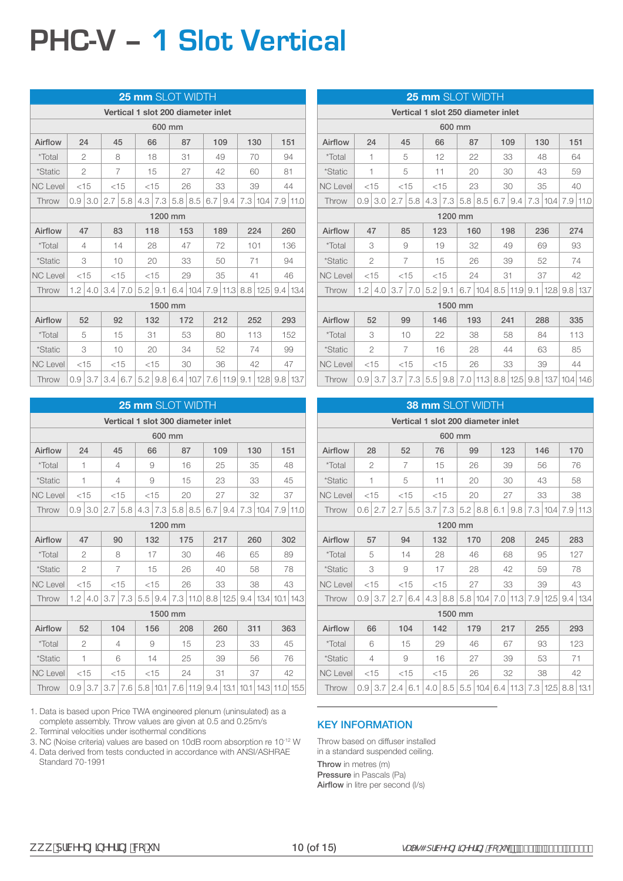# **PHC-V – 1 Slot Vertical**

|                 |                |                |    |                | 25 mm SLOT WIDTH                   |    |             |                |     |                      |                                      |     |
|-----------------|----------------|----------------|----|----------------|------------------------------------|----|-------------|----------------|-----|----------------------|--------------------------------------|-----|
|                 |                |                |    |                | Vertical 1 slot 200 diameter inlet |    |             |                |     |                      |                                      |     |
|                 |                |                |    |                | 600 mm                             |    |             |                |     |                      |                                      |     |
| Airflow         |                | 24             | 45 |                | 66                                 | 87 |             | 109            | 130 |                      | 151                                  |     |
| <i>*</i> Total  | $\overline{2}$ |                |    | 8              | 18                                 | 31 |             | 49             |     | 70                   | 94                                   |     |
| <i>*Static</i>  | $\overline{2}$ |                |    | 7              | 15                                 | 27 |             | 42             |     | 60                   | 81                                   |     |
| <b>NC Level</b> |                | $<$ 15         |    | $<$ 15         | $<$ 15                             |    | 26          | 33             |     | 39                   | 44                                   |     |
| Throw           | 0.9            | 3.0            |    | $2.7 \mid 5.8$ | $4.3$   $7.3$                      |    | $5.8$   8.5 | $6.7 \mid 9.4$ |     | $7.3 \mid 10.4 \mid$ | $7.9$   11.0                         |     |
|                 |                |                |    |                | 1200 mm                            |    |             |                |     |                      |                                      |     |
| Airflow         | 47             |                |    | 83             | 118                                |    | 153         | 189            | 224 |                      |                                      | 260 |
| <i>*Total</i>   |                | 4              |    | 14             | 28                                 |    | 47          | 72             | 101 |                      |                                      | 136 |
| *Static         | 3              |                |    | 10             | 20                                 |    | 33          | 50             | 71  |                      |                                      | 94  |
| <b>NC Level</b> | $<$ 15         |                |    | $<$ 15         | $<$ 15                             |    | 29          | 35             | 41  |                      |                                      | 46  |
| Throw           | 1.2            | 4.0            |    | $3.4 \mid 7.0$ | $5.2$   9.1                        |    | 6.4 10.4    | $7.9$   11.3   |     | $8.8$   12.5         | $9.4 \mid 13.4$                      |     |
|                 |                |                |    |                | 1500 mm                            |    |             |                |     |                      |                                      |     |
| Airflow         |                | 52             |    | 92             | 132                                |    | 172         | 212            |     | 252                  |                                      | 293 |
| *Total          |                | 5              |    | 15             | 31                                 |    | 53          | 80             |     | 113                  |                                      | 152 |
| *Static         |                | 3              |    | 10             | 20                                 |    | 34          | 52             |     | 74                   |                                      | 99  |
| <b>NC Level</b> |                | $<$ 15         |    | $<$ 15         | $<$ 15                             |    | 30          | 36             |     | 42                   |                                      | 47  |
| Throw           |                | $0.9 \mid 3.7$ |    | 3.4   6.7      | $5.2$   9.8   6.4   10.7           |    |             |                |     |                      | 7.6   11.9   9.1   12.8   9.8   13.7 |     |

|                 |                |                                             |     |                                                                              |     |                |  | <b>25 mm</b> SLOT WIDTH |     |     |     |    |                            |      |
|-----------------|----------------|---------------------------------------------|-----|------------------------------------------------------------------------------|-----|----------------|--|-------------------------|-----|-----|-----|----|----------------------------|------|
|                 |                |                                             |     | Vertical 1 slot 300 diameter inlet                                           |     |                |  |                         |     |     |     |    |                            |      |
|                 |                |                                             |     |                                                                              |     | 600 mm         |  |                         |     |     |     |    |                            |      |
| Airflow         | 24             |                                             |     | 45                                                                           |     | 66             |  | 87                      |     | 109 | 130 |    | 151                        |      |
| <i>*</i> Total  | 1              |                                             |     | 4                                                                            |     | 9              |  | 16                      |     | 25  |     | 35 |                            | 48   |
| <i>*Static</i>  | 1              |                                             |     | 4                                                                            |     | 9              |  | 15                      |     | 23  |     | 33 |                            | 45   |
| <b>NC Level</b> | $<$ 15         |                                             |     | $<$ 15                                                                       |     | $<$ 15         |  | 20                      |     | 27  | 32  |    |                            | 37   |
| Throw           | 0.9            | 3.0                                         | 2.7 | 5.8                                                                          | 4.3 | 7.3            |  |                         | 6.7 | 9.4 |     |    | 7.9                        | 11.0 |
|                 |                | $7.3 \mid 10.4$<br>$5.8$   8.5  <br>1200 mm |     |                                                                              |     |                |  |                         |     |     |     |    |                            |      |
| Airflow         | 47             |                                             |     | 90                                                                           |     | 132            |  | 175                     |     | 217 | 260 |    |                            | 302  |
| <i>*Total</i>   |                | 2                                           |     | 8                                                                            |     | 17             |  | 30                      |     | 46  | 65  |    |                            | 89   |
| *Static         |                | $\overline{2}$                              |     | $\overline{7}$                                                               |     | 15             |  | 26                      |     | 40  |     | 58 |                            | 78   |
| <b>NC Level</b> |                | $<$ 15                                      |     | $<$ 15                                                                       |     | $<$ 15         |  | 26                      |     | 33  | 38  |    |                            | 43   |
| Throw           | 1.2            | 4.0                                         | 3.7 | 7.3                                                                          |     | $5.5 \mid 9.4$ |  | 7.3 11.0 8.8 12.5       |     |     |     |    | $9.4$   13.4   10.1   14.3 |      |
|                 |                |                                             |     |                                                                              |     | 1500 mm        |  |                         |     |     |     |    |                            |      |
| Airflow         |                | 52                                          |     | 104                                                                          |     | 156            |  | 208                     |     | 260 | 311 |    |                            | 363  |
| *Total          |                | $\overline{2}$                              |     | 4                                                                            |     | 9              |  | 15                      |     | 23  |     | 33 |                            | 45   |
| <i>*Static</i>  | $\overline{1}$ |                                             |     | 6                                                                            |     | 14             |  | 25                      |     | 39  |     | 56 |                            | 76   |
| <b>NC Level</b> |                | $<$ 15                                      |     | $<$ 15                                                                       |     | $<$ 15         |  | 24                      |     | 31  |     | 37 |                            | 42   |
| Throw           | 0.9            | 3.7                                         |     | 3.7   7.6   5.8   10.1   7.6   11.9   9.4   13.1   10.1   14.3   11.0   15.5 |     |                |  |                         |     |     |     |    |                            |      |

1. Data is based upon Price TWA engineered plenum (uninsulated) as a complete assembly. Throw values are given at 0.5 and 0.25m/s

2. Terminal velocities under isothermal conditions

3. NC (Noise criteria) values are based on 10dB room absorption re 10-12 W

4. Data derived from tests conducted in accordance with ANSI/ASHRAE Standard 70-1991

|                 |               |                |     |                                                                            |    |             | <b>25 mm SLOT WIDTH</b><br>Vertical 1 slot 250 diameter inlet<br>87<br>22<br>20<br>23<br>$5.8$ 8.5<br>160<br>32<br>26<br>24<br>$6.7$   10.4   8.5   11.9   9.1   12.8   9.8   13.7 |     |     |     |                          |  |     |
|-----------------|---------------|----------------|-----|----------------------------------------------------------------------------|----|-------------|------------------------------------------------------------------------------------------------------------------------------------------------------------------------------------|-----|-----|-----|--------------------------|--|-----|
|                 |               |                |     |                                                                            |    |             |                                                                                                                                                                                    |     |     |     |                          |  |     |
|                 |               |                |     |                                                                            |    | 600 mm      |                                                                                                                                                                                    |     |     |     |                          |  |     |
| Airflow         |               | 24             |     | 45                                                                         |    | 66          |                                                                                                                                                                                    |     |     | 109 | 130                      |  | 151 |
| <i>*Total</i>   |               | 1              |     | 5                                                                          |    | 12          |                                                                                                                                                                                    |     |     | 33  | 48                       |  | 64  |
| *Static         |               | 1              |     | 5                                                                          | 11 |             |                                                                                                                                                                                    |     |     | 30  | 43                       |  | 59  |
| <b>NC Level</b> |               | $<$ 15         |     | $<$ 15                                                                     |    | $<$ 15      |                                                                                                                                                                                    |     |     | 30  | 35                       |  | 40  |
| Throw           | 0.9           | 3.0            | 2.7 | 5.8                                                                        |    | $4.3$ 7.3   |                                                                                                                                                                                    |     | 6.7 | 9.4 |                          |  |     |
|                 |               |                |     |                                                                            |    |             | 1200 mm                                                                                                                                                                            |     |     |     | 7.3 10.4 7.9 11.0<br>236 |  |     |
| Airflow         |               | 47             |     | 85                                                                         |    | 123         |                                                                                                                                                                                    |     |     | 198 |                          |  | 274 |
| <i>*</i> Total  |               | 3              |     | 9                                                                          |    | 19          |                                                                                                                                                                                    |     |     | 49  | 69                       |  | 93  |
| <i>*Static</i>  |               | $\overline{2}$ |     | 7                                                                          |    | 15          |                                                                                                                                                                                    |     |     | 39  | 52                       |  | 74  |
| <b>NC Level</b> |               | $<$ 15         |     | $<$ 15                                                                     |    | $<$ 15      |                                                                                                                                                                                    |     | 31  |     | 37                       |  | 42  |
| Throw           | $1.2^{\circ}$ | 4.0            | 3.7 | 7.0                                                                        |    | $5.2$   9.1 |                                                                                                                                                                                    |     |     |     |                          |  |     |
|                 |               |                |     |                                                                            |    |             | 1500 mm                                                                                                                                                                            |     |     |     |                          |  |     |
| Airflow         |               | 52             |     | 99                                                                         |    | 146         |                                                                                                                                                                                    | 193 | 241 |     | 288                      |  | 335 |
| *Total          |               | 3              |     | 10                                                                         |    | 22          |                                                                                                                                                                                    | 38  |     | 58  | 84                       |  | 113 |
| <i>*Static</i>  |               | $\overline{2}$ |     | $\overline{7}$                                                             |    | 16          |                                                                                                                                                                                    | 28  |     | 44  | 63                       |  | 85  |
| <b>NC Level</b> |               | $<$ 15         |     | $<$ 15                                                                     |    | $<$ 15      |                                                                                                                                                                                    | 26  |     | 33  | 39                       |  | 44  |
| Throw           | 0.9           | 3.7            |     | 3.7   7.3   5.5   9.8   7.0   11.3   8.8   12.5   9.8   13.7   10.4   14.6 |    |             |                                                                                                                                                                                    |     |     |     |                          |  |     |

|                 |     |                |     |                |        |             | <b>38 mm SLOT WIDTH</b>                      |     |     |                   |      |
|-----------------|-----|----------------|-----|----------------|--------|-------------|----------------------------------------------|-----|-----|-------------------|------|
|                 |     |                |     |                |        |             | Vertical 1 slot 200 diameter inlet           |     |     |                   |      |
|                 |     |                |     |                |        | 600 mm      |                                              |     |     |                   |      |
| Airflow         |     | 28             |     | 52             | 76     |             | 99                                           | 123 |     | 146               | 170  |
| *Total          |     | $\overline{2}$ |     | 7              | 15     |             | 26                                           | 39  |     | 56                | 76   |
| *Static         |     | $\mathbf{1}$   |     | 5              | 11     |             | 20                                           | 30  |     | 43                | 58   |
| <b>NC Level</b> |     | $<$ 15         |     | $<$ 15         | $<$ 15 |             | 20                                           | 27  |     | 33                | 38   |
| Throw           |     | $0.6 \mid 2.7$ | 2.7 | $5.5^{\circ}$  |        |             | $3.7$   7.3   5.2   8.8                      | 6.1 | 9.8 | 7.3 10.4 7.9 11.3 |      |
|                 |     |                |     |                |        | 1200 mm     |                                              |     |     |                   |      |
| Airflow         |     | 57             |     | 94             |        | 132         | 170                                          | 208 |     | 245               | 283  |
| *Total          |     | 5              |     | 14             | 28     |             | 46                                           | 68  |     | 95                | 127  |
| *Static         |     | 3              |     | 9              |        | 17          | 28                                           | 42  |     | 59                | 78   |
| <b>NC Level</b> |     | $<$ 15         |     | < 15           |        | $<$ 15      | 27                                           | 33  |     | 39                | 43   |
| Throw           | 0.9 | 3.7            | 2.7 | 6.4            |        |             | $4.3$   8.8   5.8   10.4   7.0   11.3        |     |     | 7.9 12.5 9.4 13.4 |      |
|                 |     |                |     |                |        | 1500 mm     |                                              |     |     |                   |      |
| Airflow         |     | 66             |     | 104            |        | 142         | 179                                          |     | 217 | 255               | 293  |
| <i>*</i> Total  |     | 6              |     | 15             |        | 29          | 46                                           |     | 67  | 93                | 123  |
| <i>*Static</i>  |     | 4              |     | 9              |        | 16          | 27                                           |     | 39  | 53                | 71   |
| <b>NC Level</b> |     | $<$ 15         |     | < 15           |        | < 15        | 26                                           |     | 32  | 38                | 42   |
| Throw           | 0.9 | 3.7            |     | $2.4 \mid 6.1$ |        | $4.0$   8.5 | $5.5$   10.4   6.4   11.3   7.3   12.5   8.8 |     |     |                   | 13.1 |

#### KEY INFORMATION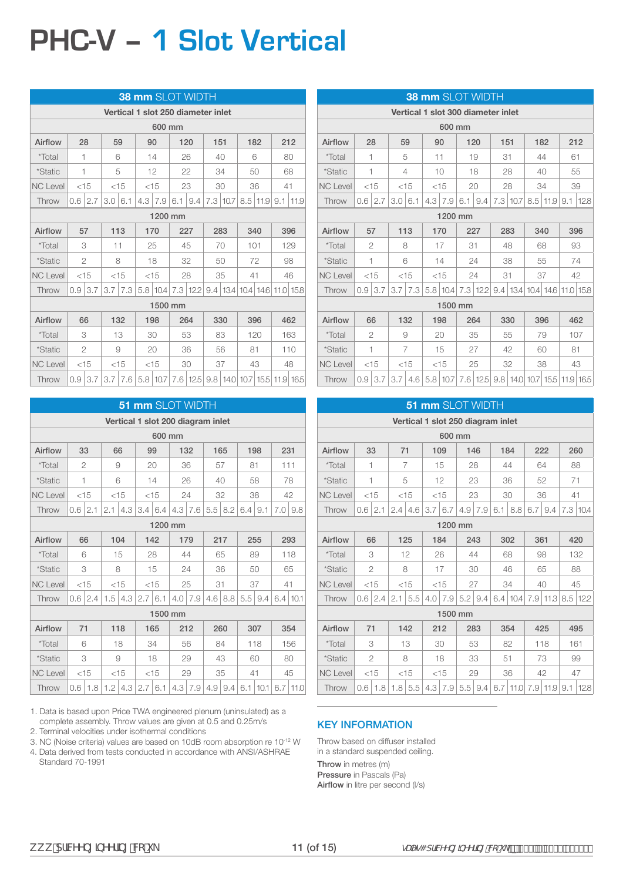## **PHC-V – 1 Slot Vertical**

|                 |   |                |           |                | <b>38 mm SLOT WIDTH</b>            |     |                   |     |          |     |              |                                                                  |      |
|-----------------|---|----------------|-----------|----------------|------------------------------------|-----|-------------------|-----|----------|-----|--------------|------------------------------------------------------------------|------|
|                 |   |                |           |                | Vertical 1 slot 250 diameter inlet |     |                   |     |          |     |              |                                                                  |      |
|                 |   |                |           |                | 600 mm                             |     |                   |     |          |     |              |                                                                  |      |
| Airflow         |   | 28             |           | 59             | 90                                 | 120 |                   | 151 |          | 182 |              | 212                                                              |      |
| <i>*</i> Total  |   | 1              |           | 6              | 14                                 |     | 26                | 40  |          |     | 6            | 80                                                               |      |
| <i>*Static</i>  | 1 |                |           | 5              | 12                                 |     | 22                | 34  |          | 50  |              | 68                                                               |      |
| <b>NC Level</b> |   | $<$ 15         |           | $<$ 15         | $<$ 15                             |     | 23                | 30  |          | 36  |              | 41                                                               |      |
| Throw           |   | $0.6 \mid 2.7$ | 3.0   6.1 |                | $4.3$   $7.9$                      |     | $6.1 \,   \, 9.4$ |     | 7.3 10.7 |     | $8.5$   11.9 | 9.1                                                              | 11.9 |
|                 |   |                |           |                | 1200 mm                            |     |                   |     |          |     |              |                                                                  |      |
| Airflow         |   | 57             |           | 113            | 170                                |     | 227               | 283 |          | 340 |              | 396                                                              |      |
| <i>*Total</i>   |   | 3              | 11        |                | 25                                 |     | 45                | 70  |          | 101 |              |                                                                  | 129  |
| *Static         |   | $\overline{2}$ |           | 8              | 18                                 |     | 32                |     | 50       | 72  |              |                                                                  | 98   |
| <b>NC Level</b> |   | $<$ 15         |           | $<$ 15         | $<$ 15                             |     | 28                |     | 35       | 41  |              |                                                                  | 46   |
| Throw           |   | $0.9$ 3.7      |           | $3.7 \mid 7.3$ |                                    |     |                   |     |          |     |              | 5.8   10.4   7.3   12.2   9.4   13.4   10.4   14.6   11.0   15.8 |      |
|                 |   |                |           |                | 1500 mm                            |     |                   |     |          |     |              |                                                                  |      |
| Airflow         |   | 66             |           | 132            | 198                                |     | 264               | 330 |          | 396 |              |                                                                  | 462  |
| *Total          |   | 3              |           | 13             | 30                                 |     | 53                | 83  |          |     | 120          |                                                                  | 163  |
| *Static         |   | $\overline{2}$ |           | 9              | 20                                 |     | 36                |     | 56       | 81  |              |                                                                  | 110  |
| <b>NC Level</b> |   | $<$ 15         |           | $<$ 15         | $<$ 15                             |     | 30                |     | 37       | 43  |              |                                                                  | 48   |
| Throw           |   | $0.9$ 3.7      |           |                |                                    |     |                   |     |          |     |              | 3.7 7.6 5.8 10.7 7.6 12.5 9.8 14.0 10.7 15.5 11.9 16.5           |      |

|                 |                |        |     |        |        |        | <b>51 mm SLOT WIDTH</b>           |                |     |     |     |      |                 |      |
|-----------------|----------------|--------|-----|--------|--------|--------|-----------------------------------|----------------|-----|-----|-----|------|-----------------|------|
|                 |                |        |     |        |        |        | Vertical 1 slot 200 diagram inlet |                |     |     |     |      |                 |      |
|                 |                |        |     |        |        | 600 mm |                                   |                |     |     |     |      |                 |      |
| Airflow         | 33             |        | 66  |        | 99     |        | 132                               |                |     | 165 |     | 198  | 231             |      |
| <i>*</i> Total  | $\overline{2}$ |        |     | 9      | 20     |        | 36                                |                |     | 57  | 81  |      | 111             |      |
| *Static         | 1              |        |     | 6      |        | 14     | 26                                |                |     | 40  | 58  |      |                 | 78   |
| <b>NC Level</b> |                | $<$ 15 |     | $<$ 15 |        | $<$ 15 | 24                                |                |     | 32  |     | 38   |                 | 42   |
| Throw           | 0.6            | 2.1    | 2.1 | 4.3    | 3.4    | 6.4    | 4.3                               | 7.6            | 5.5 | 8.2 | 6.4 | 9.1  | 7.0             | 9.8  |
|                 |                |        |     |        |        |        | 1200 mm                           |                |     |     |     |      |                 |      |
| Airflow         | 66             |        |     | 104    | 142    |        | 179                               |                |     | 217 |     | 255  |                 | 293  |
| <i>*Total</i>   | 6              |        |     | 15     |        | 28     | 44                                |                |     | 65  | 89  |      |                 | 118  |
| *Static         |                | 3      |     | 8      |        | 15     |                                   | 24             |     | 36  |     | 50   |                 | 65   |
| <b>NC Level</b> | $<$ 15         |        |     | $<$ 15 | $<$ 15 |        | 25                                |                | 31  |     | 37  |      | 41              |      |
| Throw           | 0.6            | 2.4    | 1.5 | 4.3    | 2.7    | 6.1    | 4.0                               | 7.9            | 4.6 | 8.8 | 5.5 | 9.4  | $6.4 \mid 10.1$ |      |
|                 |                |        |     |        |        |        | 1500 mm                           |                |     |     |     |      |                 |      |
| Airflow         | 71             |        |     | 118    |        | 165    |                                   | 212            |     | 260 |     | 307  |                 | 354  |
| *Total          | 6              |        |     | 18     |        | 34     |                                   | 56             |     | 84  |     | 118  |                 | 156  |
| <i>*Static</i>  |                | 3      |     | 9      |        | 18     |                                   | 29             |     | 43  |     | 60   |                 | 80   |
| <b>NC Level</b> |                | $<$ 15 |     | $<$ 15 |        | $<$ 15 |                                   | 29             |     | 35  | 41  |      |                 | 45   |
| Throw           | 0.6            | 1.8    | 1.2 | 4.3    | 2.7    | 6.1    |                                   | $4.3 \mid 7.9$ | 4.9 | 9.4 | 6.1 | 10.1 | 6.7             | 11.0 |

1. Data is based upon Price TWA engineered plenum (uninsulated) as a complete assembly. Throw values are given at 0.5 and 0.25m/s

2. Terminal velocities under isothermal conditions

3. NC (Noise criteria) values are based on 10dB room absorption re 10-12 W

4. Data derived from tests conducted in accordance with ANSI/ASHRAE Standard 70-1991

|                 |        |                |                | <b>38 mm SLOT WIDTH</b>            |        |                           |     |     |    |                                 |                                                                  |      |
|-----------------|--------|----------------|----------------|------------------------------------|--------|---------------------------|-----|-----|----|---------------------------------|------------------------------------------------------------------|------|
|                 |        |                |                | Vertical 1 slot 300 diameter inlet |        |                           |     |     |    |                                 |                                                                  |      |
|                 |        |                |                |                                    | 600 mm |                           |     |     |    |                                 |                                                                  |      |
| Airflow         |        | 28             | 59             |                                    | 90     | 120                       |     | 151 |    | 182                             |                                                                  | 212  |
| *Total          | 1      |                | 5              | 11                                 |        |                           | 19  | 31  |    | 44                              | 61                                                               |      |
| <i>*Static</i>  | 1      |                | 4              |                                    | 10     |                           | 18  | 28  |    | 40                              |                                                                  | 55   |
| <b>NC Level</b> | $<$ 15 |                | $<$ 15         |                                    | $<$ 15 | 20                        |     | 28  |    | 34                              |                                                                  | 39   |
| Throw           |        | $0.6 \mid 2.7$ | $3.0\,6.1$     |                                    |        | $4.3$   $7.9$   6.1   9.4 |     |     |    | $7.3$   10.7   8.5   11.9   9.1 |                                                                  | 12.8 |
|                 |        |                |                |                                    |        | 1200 mm                   |     |     |    |                                 |                                                                  |      |
| Airflow         |        | 57             | 113            |                                    | 170    | 227                       |     | 283 |    | 340                             |                                                                  | 396  |
| <i>*Total</i>   |        | 2              | 8              |                                    | 17     | 31                        |     | 48  |    | 68                              |                                                                  | 93   |
| <i>*Static</i>  |        | 1              | 6              |                                    | 14     |                           | 24  | 38  |    | 55                              |                                                                  | 74   |
| <b>NC Level</b> |        | $<$ 15         | $<$ 15         |                                    | $<$ 15 |                           | 24  | 31  |    | 37                              |                                                                  | 42   |
| Throw           | 0.9    | 3.7            | $3.7$ 7.3      |                                    |        |                           |     |     |    |                                 | 5.8   10.4   7.3   12.2   9.4   13.4   10.4   14.6   11.0   15.8 |      |
|                 |        |                |                |                                    |        | 1500 mm                   |     |     |    |                                 |                                                                  |      |
| Airflow         |        | 66             | 132            |                                    | 198    |                           | 264 | 330 |    | 396                             |                                                                  | 462  |
| <i>*</i> Total  |        | 2              | 9              |                                    | 20     |                           | 35  |     | 55 | 79                              |                                                                  | 107  |
| <i>*Static</i>  |        | 1              | $\overline{7}$ |                                    | 15     |                           | 27  |     | 42 | 60                              | 81                                                               |      |
| <b>NC Level</b> |        | $<$ 15         | $<$ 15         |                                    | $<$ 15 |                           | 25  |     | 32 | 38                              |                                                                  | 43   |
| Throw           |        |                |                |                                    |        |                           |     |     |    |                                 | $0.9$ 3.7 3.7 4.6 5.8 10.7 7.6 12.5 9.8 14.0 10.7 15.5 11.9 16.5 |      |

|                 |      |                |     |                                   | 51 mm SLOT WIDTH |                |         |                |     |            |     |          |     |          |
|-----------------|------|----------------|-----|-----------------------------------|------------------|----------------|---------|----------------|-----|------------|-----|----------|-----|----------|
|                 |      |                |     | Vertical 1 slot 250 diagram inlet |                  |                |         |                |     |            |     |          |     |          |
|                 |      |                |     |                                   |                  | 600 mm         |         |                |     |            |     |          |     |          |
| Airflow         | 33   |                | 71  |                                   |                  | 109            |         | 146            | 184 |            |     | 222      |     | 260      |
| *Total          | 1    |                |     | $\overline{7}$                    |                  | 15             |         | 28             | 44  |            |     | 64       |     | 88       |
| *Static         | 1    |                |     | 5                                 |                  | 12             |         | 23             | 36  |            |     | 52       |     | 71       |
| <b>NC Level</b> | < 15 |                |     | < 15                              | $<$ 15           |                |         | 23             | 30  |            |     | 36       | 41  |          |
| Throw           | 0.6  | 2.1            | 2.4 | 4.6                               | 3.7              | 6.7            | 4.9     | 7.9            | 6.1 | 8.8        | 6.7 | 9.4      |     | 7.3 10.4 |
|                 |      |                |     |                                   |                  |                | 1200 mm |                |     |            |     |          |     |          |
| Airflow         |      | 66             |     | 125                               |                  | 184            |         | 243            | 302 |            |     | 361      |     | 420      |
| <i>*Total</i>   |      | 3              |     | 12                                |                  | 26             |         | 44             | 68  |            |     | 98       |     | 132      |
| *Static         |      | $\overline{2}$ |     | 8                                 |                  | 17             |         | 30             |     | 46         |     | 65       |     | 88       |
| <b>NC Level</b> |      | < 15           |     | < 15                              |                  | $<$ 15         | 27      |                | 34  |            |     | 40       |     | 45       |
| Throw           | 0.6  | 2.4            | 2.1 | 5.5                               | 4.0              | 7.9            |         | $5.2 \mid 9.4$ | 6.4 | 10.4       | 7.9 | 11.3     | 8.5 | 12.2     |
|                 |      |                |     |                                   |                  |                | 1500 mm |                |     |            |     |          |     |          |
| Airflow         | 71   |                |     | 142                               |                  | 212            |         | 283            | 354 |            |     | 425      |     | 495      |
| *Total          |      | 3              |     | 13                                |                  | 30             |         | 53             |     | 82         |     | 118      |     | 161      |
| *Static         |      | $\overline{2}$ |     | 8                                 |                  | 18             |         | 33             | 51  |            |     | 73       |     | 99       |
| <b>NC Level</b> |      | $<$ 15         |     | $<$ 15                            |                  | $<$ 15         |         | 29             |     | 36         |     | 42       |     | 47       |
| Throw           | 0.6  | 1.8            | 1.8 | 5.5                               |                  | $4.3 \mid 7.9$ |         | $5.5$ 9.4      |     | $6.7$ 11.0 |     | 7.9 11.9 | 9.1 | 12.8     |

#### KEY INFORMATION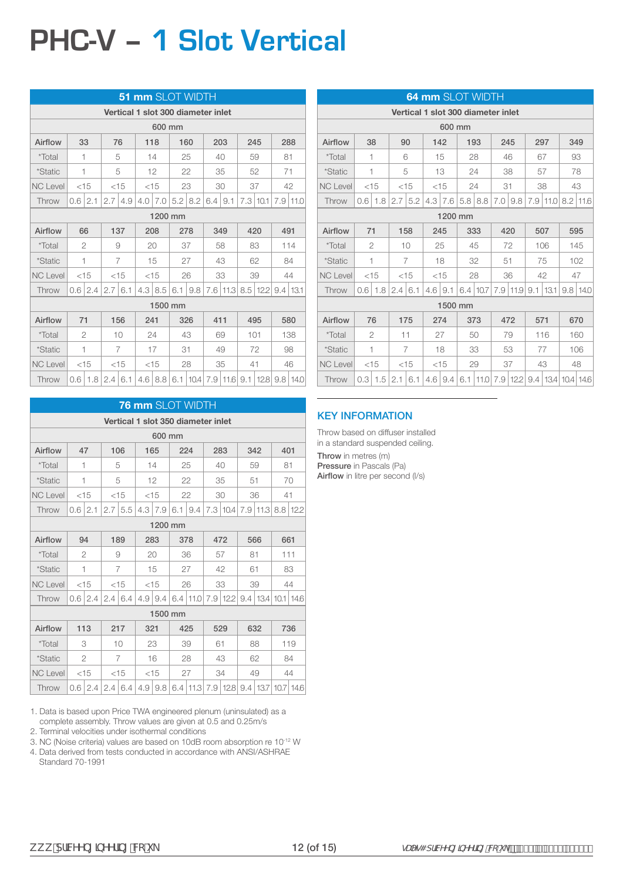# **PHC-V – 1 Slot Vertical**

|                 |        |                |                         |                |     | 51 mm SLOT WIDTH |    |                   |                                    |    |    |                         |                 |          |
|-----------------|--------|----------------|-------------------------|----------------|-----|------------------|----|-------------------|------------------------------------|----|----|-------------------------|-----------------|----------|
|                 |        |                |                         |                |     |                  |    |                   | Vertical 1 slot 300 diameter inlet |    |    |                         |                 |          |
|                 |        |                |                         |                |     | 600 mm           |    |                   |                                    |    |    |                         |                 |          |
| Airflow         | 33     |                | 76                      |                |     | 118              |    | 160               | 203                                |    |    | 245                     |                 | 288      |
| *Total          | 1      |                |                         | 5              |     | 14               |    | 25                | 40                                 |    |    | 59                      | 81              |          |
| *Static         | 1      |                |                         | 5              |     | 12               |    | 22                | 35                                 |    |    | 52                      | 71              |          |
| <b>NC Level</b> | $<$ 15 |                |                         | $<$ 15         |     | $<$ 15           |    | 23                | 30                                 |    |    | 37                      |                 | 42       |
| Throw           |        | $0.6$   2.1    | 2.7                     | 4.9            |     | $4.0$   $7.0$    |    | $5.2$   8.2       | $6.4 \mid 9.1$                     |    |    | 7.3 10.1                |                 | 7.9 11.0 |
|                 |        | 1200 mm        |                         |                |     |                  |    |                   |                                    |    |    |                         |                 |          |
| Airflow         | 66     |                |                         | 137            |     | 208              |    | 278               | 349                                |    |    | 420                     | 491             |          |
| <i>*Total</i>   |        | $\overline{2}$ |                         | 9              |     | 20               |    | 37                |                                    | 58 |    | 83                      |                 | 114      |
| *Static         | 1      |                |                         | $\overline{7}$ |     | 15               |    | 27                |                                    | 43 |    | 62                      |                 | 84       |
| <b>NC Level</b> | $<$ 15 |                |                         | $<$ 15         |     | $<$ 15           |    | 26                |                                    | 33 |    | 39                      |                 | 44       |
| Throw           |        | 0.6 2.4        | $2.7 \mid 6.1$          |                |     | $4.3$   8.5      |    | $6.1 \,   \, 9.8$ |                                    |    |    | 7.6   11.3   8.5   12.2 | $9.4 \mid 13.1$ |          |
|                 |        |                |                         |                |     | 1500 mm          |    |                   |                                    |    |    |                         |                 |          |
| Airflow         | 71     |                |                         | 156            | 241 |                  |    | 326               | 411                                |    |    | 495                     |                 | 580      |
| *Total          |        | 2              |                         | 10             |     | 24               |    | 43                | 69                                 |    |    | 101                     |                 | 138      |
| <i>*Static</i>  | 1      |                |                         | $\overline{7}$ |     | 17               | 31 |                   |                                    | 49 |    | 72                      |                 | 98       |
| <b>NC Level</b> |        | $<$ 15         |                         | $<$ 15         |     | $<$ 15           |    | 28                |                                    | 35 | 41 |                         |                 | 46       |
| Throw           |        |                | $0.6$   1.8   2.4   6.1 |                |     | $4.6$ 8.8        |    |                   | $6.1$   10.4   7.9   11.6   9.1    |    |    | 12.8 9.8 14.0           |                 |          |

|                 |               |        |                |                  |               | <b>76 mm SLOT WIDTH</b>                                                                  |    |                           |     |     |     |     |
|-----------------|---------------|--------|----------------|------------------|---------------|------------------------------------------------------------------------------------------|----|---------------------------|-----|-----|-----|-----|
|                 |               |        |                |                  |               | Vertical 1 slot 350 diameter inlet                                                       |    |                           |     |     |     |     |
|                 |               |        |                |                  | 600 mm        |                                                                                          |    |                           |     |     |     |     |
| Airflow         |               | 47     | 106            |                  | 165           | 224                                                                                      |    | 283                       | 342 |     | 401 |     |
| *Total          | 1             |        | 5              |                  | 14            | 25                                                                                       |    | 40                        | 59  |     | 81  |     |
| <i>*Static</i>  | 1             |        | 5              |                  | 12            | 22                                                                                       |    | 35                        | 51  |     |     | 70  |
| <b>NC Level</b> |               | $<$ 15 | $<$ 15         |                  | $<$ 15        | 22                                                                                       |    | 30                        | 36  |     | 41  |     |
| Throw           | $0.6^{\circ}$ | 2.1    | $2.7$ 5.5      |                  | $4.3$   $7.9$ | 6.1   9.4                                                                                |    | 7.3 10.4 7.9 11.3 8.8 122 |     |     |     |     |
|                 |               |        |                |                  | 1200 mm       |                                                                                          |    |                           |     |     |     |     |
| Airflow         |               | 94     | 189            |                  | 283           | 378                                                                                      |    | 472                       |     | 566 | 661 |     |
| <i>*Total</i>   |               | 2      | 9              |                  | 20            | 36                                                                                       |    | 57                        | 81  |     |     | 111 |
| *Static         |               | 1      | $\overline{7}$ |                  | 15            | 27                                                                                       |    | 42                        | 61  |     |     | 83  |
| <b>NC Level</b> |               | $<$ 15 | $<$ 15         |                  | $<$ 15        | 26                                                                                       |    | 33                        | 39  |     |     | 44  |
| Throw           | 0.6           | 2.4    | $2.4 \mid 6.4$ | 4.9 <sup>°</sup> | 9.4           | 6.4   11.0   7.9   12.2   9.4   13.4   10.1   14.6                                       |    |                           |     |     |     |     |
|                 |               |        |                |                  | 1500 mm       |                                                                                          |    |                           |     |     |     |     |
| Airflow         |               | 113    | 217            | 321              |               | 425                                                                                      |    | 529                       |     | 632 |     | 736 |
| *Total          |               | 3      | 10             |                  | 23            | 39                                                                                       | 61 |                           | 88  |     |     | 119 |
| <i>*Static</i>  |               | 2      | $\overline{7}$ |                  | 16            | 28                                                                                       |    | 43                        | 62  |     |     | 84  |
| <b>NC Level</b> |               | $<$ 15 | $<$ 15         |                  | $<$ 15        | 27                                                                                       |    | 34                        | 49  |     |     | 44  |
| <b>Throw</b>    |               |        |                |                  |               | $0.6$   2.4   2.4   6.4   4.9   9.8   6.4   11.3   7.9   12.8   9.4   13.7   10.7   14.6 |    |                           |     |     |     |     |

1. Data is based upon Price TWA engineered plenum (uninsulated) as a complete assembly. Throw values are given at 0.5 and 0.25m/s

2. Terminal velocities under isothermal conditions

3. NC (Noise criteria) values are based on 10dB room absorption re 10-12 W

4. Data derived from tests conducted in accordance with ANSI/ASHRAE Standard 70-1991

|                 |     |                                              |     |        |  |                |         | <b>64 mm</b> SLOT WIDTH            |     |              |     |            |                            |            |
|-----------------|-----|----------------------------------------------|-----|--------|--|----------------|---------|------------------------------------|-----|--------------|-----|------------|----------------------------|------------|
|                 |     |                                              |     |        |  |                |         | Vertical 1 slot 300 diameter inlet |     |              |     |            |                            |            |
|                 |     |                                              |     |        |  | 600 mm         |         |                                    |     |              |     |            |                            |            |
| Airflow         |     | 38                                           |     | 90     |  | 142            |         | 193                                | 245 |              | 297 |            |                            | 349        |
| *Total          |     | 1                                            |     | 6      |  | 15             |         | 28                                 | 46  |              | 67  |            |                            | 93         |
| <i>*Static</i>  |     | 1                                            |     | 5      |  | 13             |         | 24                                 | 38  |              |     | 57         |                            | 78         |
| <b>NC Level</b> |     | $<$ 15                                       |     | $<$ 15 |  | $<$ 15         |         | 24                                 | 31  |              |     | 38         |                            | 43         |
| Throw           | 0.6 | 1.8                                          | 2.7 | 5.2    |  | $4.3 \mid 7.6$ |         | $5.8$   8.8                        | 7.0 | 9.8          |     | 7.9   11.0 |                            | $8.2$ 11.6 |
|                 |     | 1200 mm                                      |     |        |  |                |         |                                    |     |              |     |            |                            |            |
| Airflow         |     | 71<br>158<br>333<br>507<br>245<br>420<br>595 |     |        |  |                |         |                                    |     |              |     |            |                            |            |
| <i>*</i> Total  |     | $\overline{2}$                               |     | 10     |  | 25             |         | 45                                 | 72  |              |     | 106        |                            | 145        |
| <i>*Static</i>  |     | 1                                            |     | 7      |  | 18             |         | 32                                 | 51  |              |     | 75         |                            | 102        |
| <b>NC Level</b> |     | $<$ 15                                       |     | $<$ 15 |  | $<$ 15         |         | 28                                 | 36  |              |     | 42         |                            | 47         |
| Throw           | 0.6 | 1.8                                          | 2.4 | 6.1    |  | $4.6$   9.1    |         | 6.4 10.7                           |     | $7.9$   11.9 | 9.1 | 13.1       |                            | 9.8114.0   |
|                 |     |                                              |     |        |  |                | 1500 mm |                                    |     |              |     |            |                            |            |
| Airflow         |     | 76                                           |     | 175    |  | 274            |         | 373                                | 472 |              | 571 |            |                            | 670        |
| <i>*</i> Total  |     | $\overline{2}$                               | 11  |        |  | 27             |         | 50                                 | 79  |              |     | 116        |                            | 160        |
| <i>*Static</i>  |     | 1                                            |     | 7      |  | 18             |         | 33                                 | 53  |              |     | 77         |                            | 106        |
| <b>NC Level</b> |     | $<$ 15                                       |     | $<$ 15 |  | $<$ 15         |         | 29                                 | 37  |              |     | 43         |                            | 48         |
| Throw           | 0.3 | 1.5                                          | 2.1 | 6.1    |  | $4.6 \mid 9.4$ |         | $6.1$   11.0                       |     | 7.9 122      |     |            | $9.4$   13.4   10.4   14.6 |            |

#### KEY INFORMATION

Throw based on diffuser installed in a standard suspended ceiling.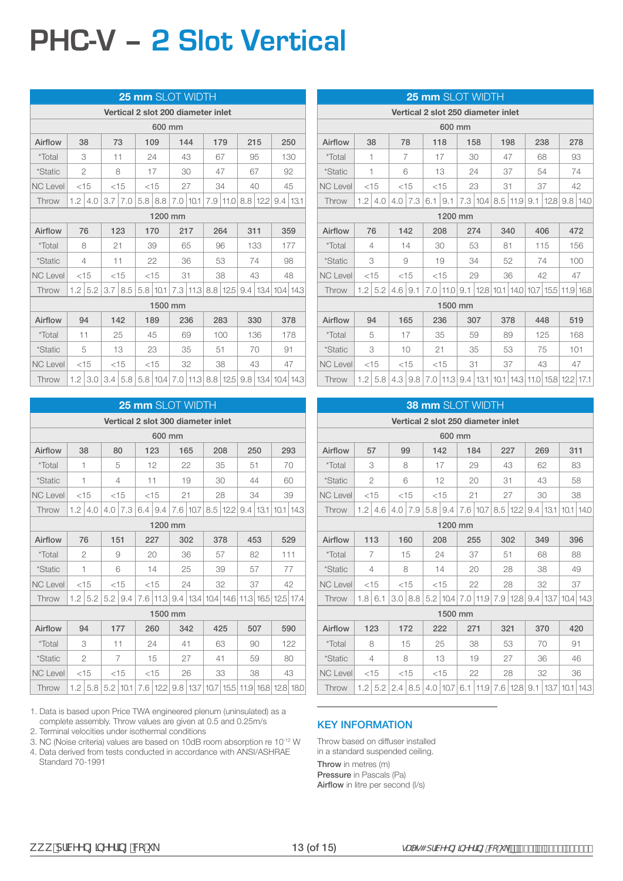### **PHC-V – 2 Slot Vertical**

|                 |     |           |    |               |  | 25 mm SLOT WIDTH                   |     |              |     |              |     |              |                                                                 |  |
|-----------------|-----|-----------|----|---------------|--|------------------------------------|-----|--------------|-----|--------------|-----|--------------|-----------------------------------------------------------------|--|
|                 |     |           |    |               |  | Vertical 2 slot 200 diameter inlet |     |              |     |              |     |              |                                                                 |  |
|                 |     |           |    |               |  | 600 mm                             |     |              |     |              |     |              |                                                                 |  |
| Airflow         |     | 38        | 73 |               |  | 109                                | 144 |              | 179 |              | 215 |              | 250                                                             |  |
| *Total          |     | 3         | 11 |               |  | 24                                 | 43  |              | 67  |              |     | 95           | 130                                                             |  |
| <i>*Static</i>  |     | 2         |    | 8             |  | 17                                 | 30  |              | 47  |              | 67  |              | 92                                                              |  |
| <b>NC Level</b> |     | $<$ 15    |    | $<$ 15        |  | $<$ 15                             |     | 27           | 34  |              |     | 40           | 45                                                              |  |
| Throw           | 1.2 | 4.0       |    | $3.7$   $7.0$ |  | $5.8$   8.8                        |     | $7.0$   10.1 |     | $7.9$   11.0 |     | $8.8$   12.2 | $9.4 \mid 13.1$                                                 |  |
|                 |     | 1200 mm   |    |               |  |                                    |     |              |     |              |     |              |                                                                 |  |
| Airflow         |     | 76        |    | 123           |  | 170                                |     | 217          |     | 264          | 311 |              | 359                                                             |  |
| *Total          |     | 8         | 21 |               |  | 39                                 | 65  |              | 96  |              |     | 133          | 177                                                             |  |
| <i>*Static</i>  |     | 4         | 11 |               |  | 22                                 |     | 36           |     | 53           |     | 74           | 98                                                              |  |
| <b>NC Level</b> |     | $<$ 15    |    | $<$ 15        |  | $<$ 15                             | 31  |              |     | 38           |     | 43           | 48                                                              |  |
| Throw           |     | $1.2$ 5.2 |    | $3.7$   8.5   |  | 5.8 10.1                           |     | $7.3$   11.3 |     | $8.8$   12.5 |     |              | $9.4$   13.4   10.4   14.3                                      |  |
|                 |     |           |    |               |  | 1500 mm                            |     |              |     |              |     |              |                                                                 |  |
| Airflow         |     | 94        |    | 142           |  | 189                                |     | 236          |     | 283          |     | 330          | 378                                                             |  |
| *Total          |     | 11        |    | 25            |  | 45                                 |     | 69           |     | 100          |     | 136          | 178                                                             |  |
| *Static         |     | 5         |    | 13            |  | 23                                 |     | 35           | 51  |              |     | 70           | 91                                                              |  |
| <b>NC Level</b> |     | $<$ 15    |    | $<$ 15        |  | $<$ 15                             |     | 32           |     | 38           |     | 43           | 47                                                              |  |
| Throw           |     | $1.2$ 3.0 |    | 3.4   5.8     |  |                                    |     |              |     |              |     |              | 5.8   10.4   7.0   11.3   8.8   12.5   9.8   13.4   10.4   14.3 |  |

|                 |        |                                       |     |                |        |         |    | <b>25 mm SLOT WIDTH</b>                                           |    |              |     |     |     |     |
|-----------------|--------|---------------------------------------|-----|----------------|--------|---------|----|-------------------------------------------------------------------|----|--------------|-----|-----|-----|-----|
|                 |        |                                       |     |                |        |         |    | Vertical 2 slot 300 diameter inlet                                |    |              |     |     |     |     |
|                 |        |                                       |     |                |        | 600 mm  |    |                                                                   |    |              |     |     |     |     |
| Airflow         | 38     |                                       | 80  |                | 123    |         |    | 165                                                               |    | 208          | 250 |     |     | 293 |
| <i>*</i> Total  | 1      |                                       |     | 5              |        | 12      |    | 22                                                                |    | 35           | 51  |     |     | 70  |
| <i>*Static</i>  | 1      |                                       |     | 4              | 11     |         |    | 19                                                                |    | 30           | 44  |     |     | 60  |
| <b>NC Level</b> | $<$ 15 |                                       |     | $<$ 15         | $<$ 15 |         | 21 |                                                                   |    | 28           | 34  |     |     | 39  |
| Throw           | 1.2    | 4.0                                   | 4.0 | 7.3            | 6.4    | 9.4     |    | 7.6   10.7                                                        |    | $8.5$   12.2 |     |     |     |     |
|                 |        | $9.4$   13.1   10.1   14.3<br>1200 mm |     |                |        |         |    |                                                                   |    |              |     |     |     |     |
| Airflow         |        | 76                                    | 151 |                | 227    |         |    | 302                                                               |    | 378          | 453 |     |     | 529 |
| <i>*Total</i>   |        | 2                                     |     | 9              |        | 20      |    | 36                                                                |    | 57           |     | 82  | 111 |     |
| *Static         | 1      |                                       |     | 6              |        | 14      |    | 25                                                                |    | 39           |     | 57  |     | 77  |
| <b>NC Level</b> | $<$ 15 |                                       |     | $<$ 15         | $<$ 15 |         |    | 24                                                                |    | 32           | 37  |     |     | 42  |
| Throw           | 1.2    | 5.2                                   |     | $5.2$   9.4    |        |         |    | 7.6   11.3   9.4   13.4   10.4   14.6   11.3   16.5   12.5   17.4 |    |              |     |     |     |     |
|                 |        |                                       |     |                |        | 1500 mm |    |                                                                   |    |              |     |     |     |     |
| Airflow         |        | 94                                    |     | 177            |        | 260     |    | 342                                                               |    | 425          |     | 507 |     | 590 |
| *Total          |        | 3                                     | 11  |                |        | 24      |    | 41                                                                |    | 63           |     | 90  |     | 122 |
| <i>*Static</i>  |        | $\overline{c}$                        |     | $\overline{7}$ |        | 15      |    | 27                                                                | 41 |              |     | 59  |     | 80  |
| <b>NC Level</b> |        | $<$ 15                                |     | $<$ 15         |        | $<$ 15  |    | 26                                                                |    | 33           |     | 38  |     | 43  |
| Throw           |        | $1.2$ 5.8                             |     | $5.2$   10.1   |        |         |    | 7.6   12.2   9.8   13.7   10.7   15.5   11.9   16.8   12.8   18.0 |    |              |     |     |     |     |

1. Data is based upon Price TWA engineered plenum (uninsulated) as a complete assembly. Throw values are given at 0.5 and 0.25m/s

2. Terminal velocities under isothermal conditions

3. NC (Noise criteria) values are based on 10dB room absorption re 10-12 W

4. Data derived from tests conducted in accordance with ANSI/ASHRAE Standard 70-1991

|                 |        |           |             |                         | 25 mm SLOT WIDTH                                |    |                                                   |     |     |     |     |     |
|-----------------|--------|-----------|-------------|-------------------------|-------------------------------------------------|----|---------------------------------------------------|-----|-----|-----|-----|-----|
|                 |        |           |             |                         | Vertical 2 slot 250 diameter inlet              |    |                                                   |     |     |     |     |     |
|                 |        |           |             |                         | 600 mm                                          |    |                                                   |     |     |     |     |     |
| Airflow         |        | 38        | 78          |                         | 118                                             |    | 158                                               | 198 |     | 238 |     | 278 |
| <i>*Total</i>   |        | 1         | 7           |                         | 17                                              |    | 30                                                | 47  |     | 68  |     | 93  |
| *Static         |        | 1         | 6           |                         | 13                                              |    | 24                                                | 37  |     | 54  |     | 74  |
| <b>NC Level</b> | $<$ 15 |           | $<$ 15      |                         | $<$ 15                                          |    | 23                                                | 31  |     | 37  | 42  |     |
| Throw           | 1.2    | 4.0       |             | $4.0$   7.3   6.1   9.1 |                                                 |    | 7.3   10.4   8.5   11.9   9.1   12.8   9.8   14.0 |     |     |     |     |     |
|                 |        |           |             |                         | 1200 mm                                         |    |                                                   |     |     |     |     |     |
| Airflow         |        | 76        |             | 142                     | 208                                             |    | 274                                               | 340 |     | 406 |     | 472 |
| *Total          |        | 4         | 14          |                         | 30                                              |    | 53                                                | 81  |     | 115 |     | 156 |
| <i>*Static</i>  |        | 3         | 9           |                         | 19                                              |    | 34                                                |     | 52  | 74  |     | 100 |
| <b>NC Level</b> |        | $<$ 15    | $<$ 15      |                         | $<$ 15                                          |    | 29                                                |     | 36  | 42  |     | 47  |
| Throw           |        | $1.2$ 5.2 | $4.6$   9.1 |                         | 7.0 11.0 9.1 12.8 10.1 14.0 10.7 15.5 11.9 16.8 |    |                                                   |     |     |     |     |     |
|                 |        |           |             |                         | 1500 mm                                         |    |                                                   |     |     |     |     |     |
| Airflow         |        | 94        | 165         |                         | 236                                             |    | 307                                               |     | 378 | 448 |     | 519 |
| <i>*</i> Total  |        | 5         |             | 17                      | 35                                              |    | 59                                                |     | 89  | 125 |     | 168 |
| <i>*Static</i>  |        | 3         |             | 10                      | 21                                              |    | 35                                                |     | 53  | 75  | 101 |     |
| <b>NC Level</b> |        | $<$ 15    |             | $<$ 15                  | $<$ 15                                          | 31 |                                                   |     | 37  | 43  |     | 47  |
| Throw           |        | $1.2$ 5.8 |             | $4.3 \,   \, 9.8$       | 7.0 11.3 9.4 13.1 10.1 14.3 11.0 15.8 12.2 17.1 |    |                                                   |     |     |     |     |     |

|                 |         |                |     |                                    |     |              |     | <b>38 mm SLOT WIDTH</b>   |     |          |                           |                                       |     |               |
|-----------------|---------|----------------|-----|------------------------------------|-----|--------------|-----|---------------------------|-----|----------|---------------------------|---------------------------------------|-----|---------------|
|                 |         |                |     | Vertical 2 slot 250 diameter inlet |     |              |     |                           |     |          |                           |                                       |     |               |
|                 |         |                |     |                                    |     | 600 mm       |     |                           |     |          |                           |                                       |     |               |
| Airflow         |         | 57             |     | 99                                 | 142 |              |     | 184                       | 227 |          |                           | 269                                   | 311 |               |
| <i>*</i> Total  |         | 3              |     | 8                                  |     | 17           |     | 29                        | 43  |          |                           | 62                                    |     | 83            |
| *Static         |         | $\overline{2}$ |     | 6                                  |     | 12           |     | 20                        | 31  |          |                           | 43                                    |     | 58            |
| <b>NC Level</b> |         | $<$ 15         |     | < 15                               |     | $<$ 15       | 21  |                           | 27  |          |                           | 30                                    |     | 38            |
| Throw           | 1.2     | 4.6            | 4.0 | 7.9                                |     | $5.8$   9.4  |     | 7.6 10.7                  |     |          | $8.5$   12.2   9.4   13.1 |                                       |     | $10.1$   14.0 |
|                 | 1200 mm |                |     |                                    |     |              |     |                           |     |          |                           |                                       |     |               |
| Airflow         |         | 113            |     | 160                                |     | 208          |     | 255                       | 302 |          |                           | 349                                   |     | 396           |
| <i>*</i> Total  |         | 7              |     | 15                                 |     | 24           |     | 37                        | 51  |          |                           | 68                                    |     | 88            |
| <i>*Static</i>  |         | 4              |     | 8                                  |     | 14           |     | 20                        | 28  |          |                           | 38                                    |     | 49            |
| <b>NC Level</b> |         | < 15           |     | < 15                               |     | < 15         |     | 22                        | 28  |          |                           | 32                                    |     | 37            |
| Throw           | 1.8     | 6.1            | 3.0 | 8.8                                |     |              |     | $5.2$   10.4   7.0   11.9 |     |          |                           | 7.9   12.8   9.4   13.7   10.4   14.3 |     |               |
|                 |         |                |     |                                    |     | 1500 mm      |     |                           |     |          |                           |                                       |     |               |
| Airflow         |         | 123            |     | 172                                |     | 222          | 271 |                           | 321 |          |                           | 370                                   |     | 420           |
| *Total          |         | 8              |     | 15                                 |     | 25           |     | 38                        | 53  |          |                           | 70                                    | 91  |               |
| *Static         |         | $\overline{4}$ |     | 8                                  |     | 13           |     | 19                        | 27  |          |                           | 36                                    |     | 46            |
| <b>NC Level</b> |         | $<$ 15         |     | $<$ 15                             |     | < 15         |     | 22                        | 28  |          |                           | 32                                    |     | 36            |
| Throw           | 1.2     | 5.2            | 2.4 | 8.5                                |     | $4.0$   10.7 | 6.1 | 11.9                      |     | 7.6 12.8 | 9.1                       | 13.7                                  |     | $10.1$   14.3 |

#### KEY INFORMATION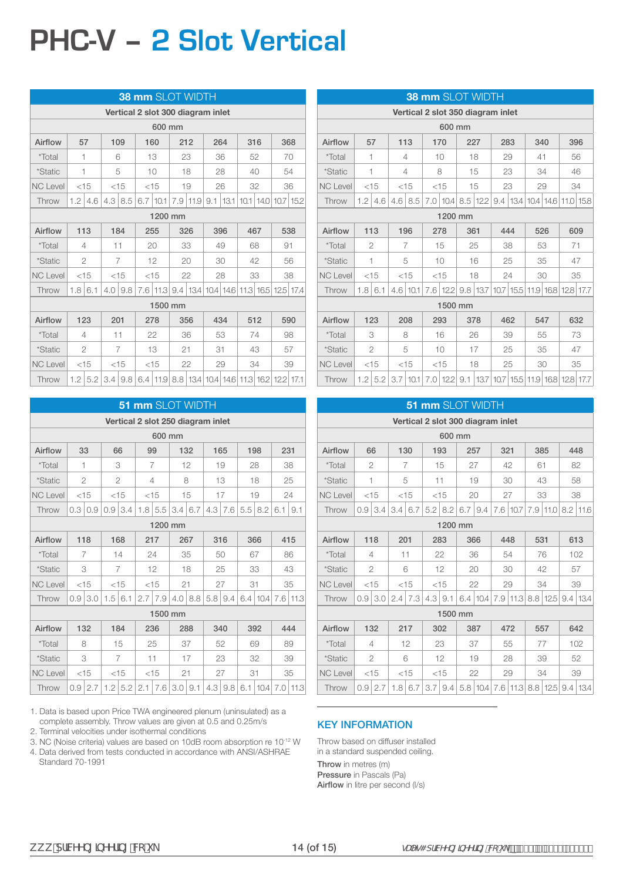## **PHC-V – 2 Slot Vertical**

|                 |     |                |     |                        | <b>38 mm SLOT WIDTH</b>                                                                   |    |              |     |                 |     |               |             |    |
|-----------------|-----|----------------|-----|------------------------|-------------------------------------------------------------------------------------------|----|--------------|-----|-----------------|-----|---------------|-------------|----|
|                 |     |                |     |                        | Vertical 2 slot 300 diagram inlet                                                         |    |              |     |                 |     |               |             |    |
|                 |     |                |     |                        | 600 mm                                                                                    |    |              |     |                 |     |               |             |    |
| Airflow         |     | 57             |     | 109                    | 160                                                                                       |    | 212          | 264 |                 | 316 |               | 368         |    |
| *Total          | 1   |                |     | 6                      | 13                                                                                        | 23 |              | 36  |                 | 52  |               | 70          |    |
| <i>*Static</i>  | 1   |                |     | 5                      | 10                                                                                        |    | 18           |     | 28              | 40  |               | 54          |    |
| <b>NC Level</b> |     | $<$ 15         |     | $<$ 15                 | $<$ 15                                                                                    |    | 19           |     | 26              | 32  |               | 36          |    |
| Throw           | 1.2 | 4.6            |     | $4.3 \,   \, 8.5 \,  $ | $6.7$   10.1                                                                              |    | $7.9$   11.9 |     | $9.1 \mid 13.1$ |     | $10.1$   14.0 | $10.7$ 15.2 |    |
|                 |     |                |     |                        | 1200 mm                                                                                   |    |              |     |                 |     |               |             |    |
| Airflow         |     | 113            |     | 184                    | 255                                                                                       |    | 326          |     | 396             | 467 |               | 538         |    |
| *Total          |     | 4              | 11  |                        | 20                                                                                        |    | 33           | 49  |                 | 68  |               | 91          |    |
| *Static         |     | $\overline{2}$ |     | $\overline{7}$         | 12                                                                                        |    | 20           |     | 30              | 42  |               | 56          |    |
| <b>NC Level</b> |     | $<$ 15         |     | $<$ 15                 | $<$ 15                                                                                    |    | 22           |     | 28              | 33  |               |             | 38 |
| Throw           | 1.8 | 6.1            |     | $4.0 \,   \, 9.8$      | 7.6 11.3 9.4 13.4 10.4 14.6 11.3 16.5 12.5 17.4                                           |    |              |     |                 |     |               |             |    |
|                 |     |                |     |                        | 1500 mm                                                                                   |    |              |     |                 |     |               |             |    |
| Airflow         |     | 123            | 201 |                        | 278                                                                                       |    | 356          | 434 |                 | 512 |               | 590         |    |
| *Total          |     | 4              |     | 11                     | 22                                                                                        |    | 36           |     | 53              |     | 74            |             | 98 |
| *Static         |     | $\overline{c}$ |     | 7                      | 13                                                                                        | 21 |              | 31  |                 |     | 43            | 57          |    |
| <b>NC Level</b> |     | $<$ 15         |     | $<$ 15                 | $<$ 15                                                                                    |    | 22           |     | 29              |     | 34            |             | 39 |
| Throw           |     |                |     |                        | 1.2   5.2   3.4   9.8   6.4   11.9   8.8   13.4   10.4   14.6   11.3   16.2   12.2   17.1 |    |              |     |                 |     |               |             |    |

|                 |     |                |           |                | 51 mm SLOT WIDTH                  |        |                   |           |     |           |               |                    |               |      |
|-----------------|-----|----------------|-----------|----------------|-----------------------------------|--------|-------------------|-----------|-----|-----------|---------------|--------------------|---------------|------|
|                 |     |                |           |                | Vertical 2 slot 250 diagram inlet |        |                   |           |     |           |               |                    |               |      |
|                 |     |                |           |                |                                   | 600 mm |                   |           |     |           |               |                    |               |      |
| Airflow         |     | 33             | 66        |                | 99                                |        |                   | 132       | 165 |           | 198           |                    | 231           |      |
| <i>*</i> Total  | 1   |                |           | 3              | 7                                 |        |                   | 12        |     | 19        |               | 28                 |               | 38   |
| <i>*Static</i>  |     | $\overline{2}$ |           | $\overline{2}$ | 4                                 |        |                   | 8         |     | 13        |               | 18                 |               | 25   |
| <b>NC Level</b> |     | $<$ 15         |           | $<$ 15         | $<$ 15                            |        |                   | 15        |     | 17        |               | 19                 |               | 24   |
| Throw           | 0.3 | 0.9            | 0.9       | 3.4            | 1.8                               | 5.5    | 3.4               | 6.7       | 4.3 | 7.6       | 5.5           | 8.2                | 6.1           | 9.1  |
|                 |     | 1200 mm        |           |                |                                   |        |                   |           |     |           |               |                    |               |      |
| Airflow         |     | 118            |           | 168            | 217                               |        |                   | 267       |     | 316       |               | 366                |               | 415  |
| *Total          |     | 7              |           | 14             | 24                                |        |                   | 35        |     | 50        |               | 67                 |               | 86   |
| *Static         |     | 3              |           | 7              |                                   | 12     |                   | 18        |     | 25        |               | 33                 |               | 43   |
| <b>NC Level</b> |     | $<$ 15         |           | $<$ 15         | $<$ 15                            |        | 21                |           |     | 27        | 31            |                    |               | 35   |
| Throw           | 0.9 | 3.0            | $1.5$ 6.1 |                | 2.7                               | 7.9    |                   | 4.0   8.8 |     | $5.8$ 9.4 |               | $6.4$   10.4   7.6 |               | 11.3 |
|                 |     |                |           |                |                                   |        | 1500 mm           |           |     |           |               |                    |               |      |
| Airflow         |     | 132            |           | 184            | 236                               |        |                   | 288       |     | 340       |               | 392                |               | 444  |
| *Total          |     | 8              |           | 15             |                                   | 25     |                   | 37        |     | 52        |               | 69                 |               | 89   |
| <i>*Static</i>  |     | 3              |           | $\overline{7}$ | 11                                |        |                   | 17        |     | 23        |               | 32                 |               | 39   |
| <b>NC Level</b> |     | $<$ 15         |           | $<$ 15         | $<$ 15                            |        | 21                |           |     | 27        | 31            |                    |               | 35   |
| Throw           | 0.9 | 2.7            |           | $1.2$ 5.2      |                                   |        | $2.1$ 7.6 3.0 9.1 |           |     |           | $4.3$ 9.8 6.1 |                    | 10.4 7.0 11.3 |      |

1. Data is based upon Price TWA engineered plenum (uninsulated) as a complete assembly. Throw values are given at 0.5 and 0.25m/s

2. Terminal velocities under isothermal conditions

3. NC (Noise criteria) values are based on 10dB room absorption re 10-12 W

4. Data derived from tests conducted in accordance with ANSI/ASHRAE Standard 70-1991

|                 |     |                |                |                |  |         |     | <b>38 mm SLOT WIDTH</b> |                                   |     |     |                                                                   |     |
|-----------------|-----|----------------|----------------|----------------|--|---------|-----|-------------------------|-----------------------------------|-----|-----|-------------------------------------------------------------------|-----|
|                 |     |                |                |                |  |         |     |                         | Vertical 2 slot 350 diagram inlet |     |     |                                                                   |     |
|                 |     |                |                |                |  | 600 mm  |     |                         |                                   |     |     |                                                                   |     |
| Airflow         |     | 57             | 113            |                |  | 170     |     | 227                     | 283                               |     | 340 | 396                                                               |     |
| *Total          | 1   |                | 4              |                |  | 10      |     | 18                      | 29                                |     | 41  |                                                                   | 56  |
| <i>*Static</i>  |     | 1              | 4              |                |  | 8       |     | 15                      |                                   | 23  | 34  |                                                                   | 46  |
| <b>NC Level</b> |     | $<$ 15         |                | $<$ 15         |  | $<$ 15  |     | 15                      |                                   | 23  | 29  |                                                                   | 34  |
| Throw           | 1.2 | 4.6            |                | $4.6 \mid 8.5$ |  |         |     | 7.0 10.4 8.5 12.2       |                                   |     |     | $9.4$   13.4   10.4   14.6   11.0   15.8                          |     |
|                 |     |                | 1200 mm<br>196 |                |  |         |     |                         |                                   |     |     |                                                                   |     |
| Airflow         |     | 113            |                |                |  | 278     | 361 |                         |                                   | 444 | 526 |                                                                   | 609 |
| *Total          |     | $\overline{2}$ | 7              |                |  | 15      |     | 25                      |                                   | 38  | 53  | 71                                                                |     |
| *Static         |     | $\overline{1}$ | 5              |                |  | 10      |     | 16                      |                                   | 25  | 35  |                                                                   | 47  |
| <b>NC Level</b> |     | $<$ 15         |                | $<$ 15         |  | $<$ 15  |     | 18                      |                                   | 24  | 30  |                                                                   | 35  |
| Throw           | 1.8 | 6.1            | 4.6            | 10.1           |  |         |     |                         |                                   |     |     | 7.6   12.2   9.8   13.7   10.7   15.5   11.9   16.8   12.8   17.7 |     |
|                 |     |                |                |                |  | 1500 mm |     |                         |                                   |     |     |                                                                   |     |
| Airflow         |     | 123            |                | 208            |  | 293     |     | 378                     |                                   | 462 | 547 |                                                                   | 632 |
| *Total          |     | 3              |                | 8              |  | 16      |     | 26                      |                                   | 39  | 55  |                                                                   | 73  |
| *Static         |     | $\overline{2}$ |                | 5              |  | 10      |     | 17                      |                                   | 25  | 35  |                                                                   | 47  |
| <b>NC Level</b> |     | $<$ 15         |                | $<$ 15         |  | $<$ 15  |     | 18                      |                                   | 25  | 30  |                                                                   | 35  |
| Throw           |     | $1.2$ 5.2      |                | $3.7$   10.1   |  |         |     |                         |                                   |     |     | 7.0 12.2 9.1 13.7 10.7 15.5 11.9 16.8 12.8 17.7                   |     |

|                 |                  |                |     |                | <b>51 mm SLOT WIDTH</b>           |                |     |          |          |            |     |              |     |                  |
|-----------------|------------------|----------------|-----|----------------|-----------------------------------|----------------|-----|----------|----------|------------|-----|--------------|-----|------------------|
|                 |                  |                |     |                | Vertical 2 slot 300 diagram inlet |                |     |          |          |            |     |              |     |                  |
|                 |                  |                |     |                |                                   | 600 mm         |     |          |          |            |     |              |     |                  |
| Airflow         | 66               |                |     | 130            | 193                               |                | 257 |          | 321      |            |     | 385          |     | 448              |
| *Total          |                  | $\overline{2}$ |     | $\overline{7}$ |                                   | 15             |     | 27       | 42       |            | 61  |              |     | 82               |
| *Static         |                  | 1              |     | 5              | 11                                |                |     | 19       | 30       |            |     | 43           |     | 58               |
| <b>NC Level</b> | < 15             |                |     | < 15           | $<$ 15                            |                |     | 20       | 27       |            |     | 33           |     | 38               |
| Throw           | 0.9              | 3.4            | 3.4 | 6.7            |                                   | $5.2$   8.2    | 6.7 | 9.4      | 7.6 10.7 |            | 7.9 | 11.0         |     | $8.2$   11.6     |
|                 | 1200 mm          |                |     |                |                                   |                |     |          |          |            |     |              |     |                  |
| Airflow         |                  | 118            | 201 |                | 283                               |                |     | 366      | 448      |            | 531 |              |     | 613              |
| *Total          |                  | 4              |     | 11             | 22                                |                |     | 36       | 54       |            |     | 76           |     | 102              |
| *Static         |                  | $\mathfrak{D}$ |     | 6              | 12                                |                |     | 20       | 30       |            |     | 42           |     | 57               |
| <b>NC Level</b> | < 15             |                |     | < 15           | $<$ 15                            |                |     | 22       | 29       |            |     | 34           |     | 39               |
| Throw           | 0.9 <sup>°</sup> | 3.0            | 2.4 | 7.3            |                                   | $4.3 \mid 9.1$ |     | 6.4 10.4 |          | $7.9$ 11.3 |     | 8.8 12.5     |     | $9.4 \vert 13.4$ |
|                 |                  |                |     |                |                                   | 1500 mm        |     |          |          |            |     |              |     |                  |
| Airflow         |                  | 132            |     | 217            |                                   | 302            |     | 387      | 472      |            |     | 557          |     | 642              |
| *Total          |                  | 4              |     | 12             | 23                                |                |     | 37       | 55       |            |     | 77           |     | 102              |
| <i>*Static</i>  |                  | $\overline{2}$ |     | 6              |                                   | 12             |     | 19       |          | 28         |     | 39           |     | 52               |
| <b>NC Level</b> |                  | $<$ 15         |     | $<$ 15         |                                   | $<$ 15         |     | 22       | 29       |            |     | 34           |     | 39               |
| Throw           | 0.9              | 2.7            | 1.8 | 6.7            | 3.7 <sup>1</sup>                  | 9.4            |     | 5.8 10.4 |          | $7.6$ 11.3 |     | $8.8$   12.5 | 9.4 | 13.4             |

#### KEY INFORMATION